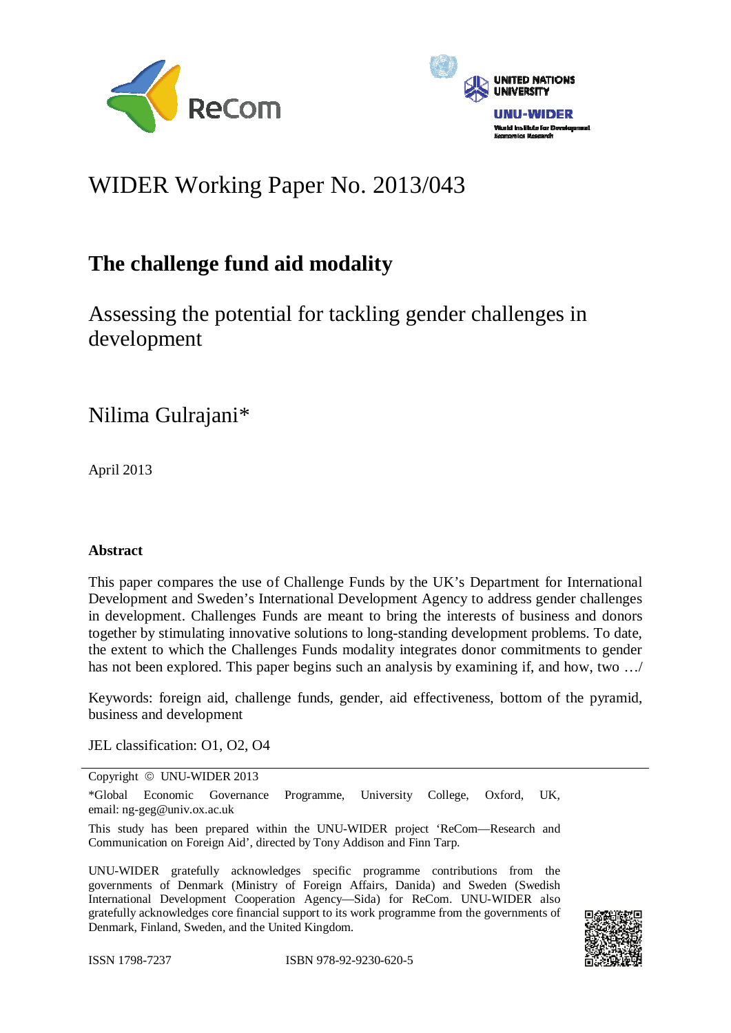



# WIDER Working Paper No. 2013/043

## **The challenge fund aid modality**

Assessing the potential for tackling gender challenges in development

Nilima Gulrajani\*

April 2013

#### **Abstract**

This paper compares the use of Challenge Funds by the UK's Department for International Development and Sweden's International Development Agency to address gender challenges in development. Challenges Funds are meant to bring the interests of business and donors together by stimulating innovative solutions to long-standing development problems. To date, the extent to which the Challenges Funds modality integrates donor commitments to gender has not been explored. This paper begins such an analysis by examining if, and how, two ...

Keywords: foreign aid, challenge funds, gender, aid effectiveness, bottom of the pyramid, business and development

JEL classification: O1, O2, O4

Copyright © UNU-WIDER 2013

\*Global Economic Governance Programme, University College, Oxford, UK, email: ng-geg@univ.ox.ac.uk

This study has been prepared within the UNU-WIDER project 'ReCom—Research and Communication on Foreign Aid', directed by Tony Addison and Finn Tarp.

UNU-WIDER gratefully acknowledges specific programme contributions from the governments of Denmark (Ministry of Foreign Affairs, Danida) and Sweden (Swedish International Development Cooperation Agency—Sida) for ReCom. UNU-WIDER also gratefully acknowledges core financial support to its work programme from the governments of Denmark, Finland, Sweden, and the United Kingdom.

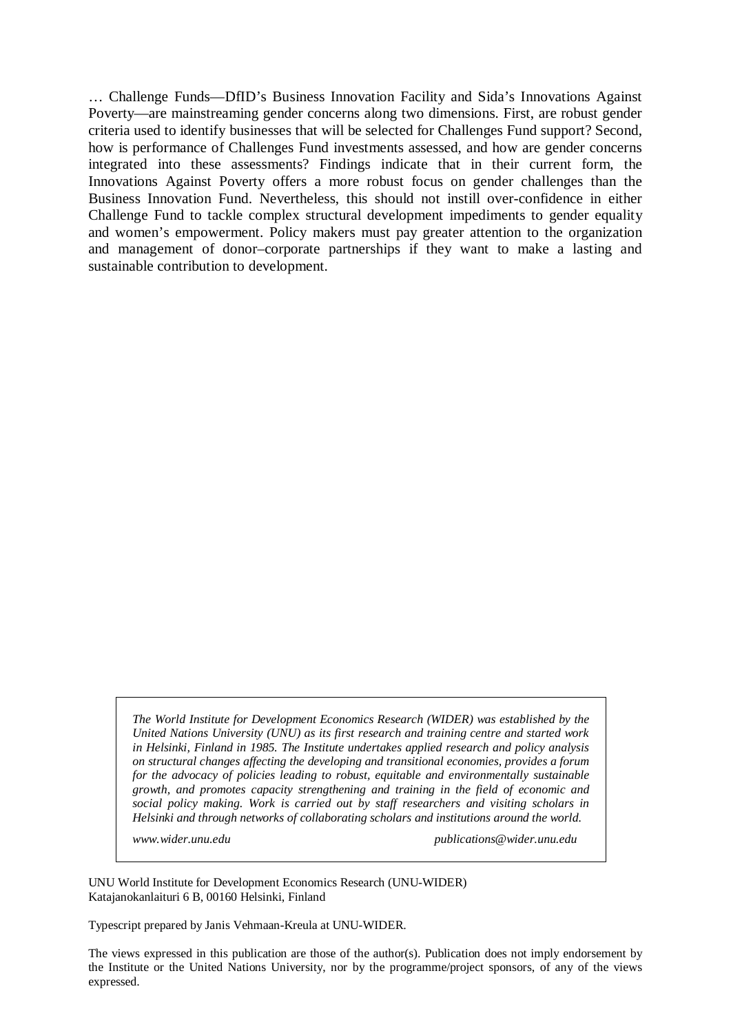… Challenge Funds—DfID's Business Innovation Facility and Sida's Innovations Against Poverty—are mainstreaming gender concerns along two dimensions. First, are robust gender criteria used to identify businesses that will be selected for Challenges Fund support? Second, how is performance of Challenges Fund investments assessed, and how are gender concerns integrated into these assessments? Findings indicate that in their current form, the Innovations Against Poverty offers a more robust focus on gender challenges than the Business Innovation Fund. Nevertheless, this should not instill over-confidence in either Challenge Fund to tackle complex structural development impediments to gender equality and women's empowerment. Policy makers must pay greater attention to the organization and management of donor–corporate partnerships if they want to make a lasting and sustainable contribution to development.

*The World Institute for Development Economics Research (WIDER) was established by the United Nations University (UNU) as its first research and training centre and started work in Helsinki, Finland in 1985. The Institute undertakes applied research and policy analysis on structural changes affecting the developing and transitional economies, provides a forum for the advocacy of policies leading to robust, equitable and environmentally sustainable growth, and promotes capacity strengthening and training in the field of economic and social policy making. Work is carried out by staff researchers and visiting scholars in Helsinki and through networks of collaborating scholars and institutions around the world.* 

*www.wider.unu.edu publications@wider.unu.edu* 

UNU World Institute for Development Economics Research (UNU-WIDER) Katajanokanlaituri 6 B, 00160 Helsinki, Finland

Typescript prepared by Janis Vehmaan-Kreula at UNU-WIDER.

The views expressed in this publication are those of the author(s). Publication does not imply endorsement by the Institute or the United Nations University, nor by the programme/project sponsors, of any of the views expressed.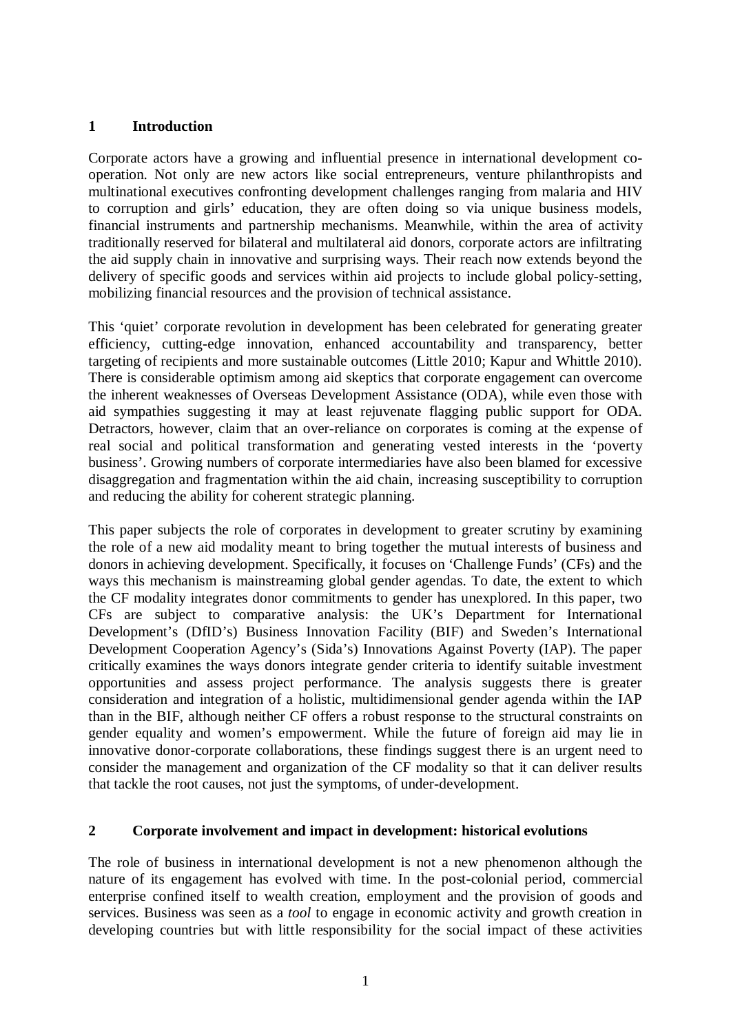#### **1 Introduction**

Corporate actors have a growing and influential presence in international development cooperation. Not only are new actors like social entrepreneurs, venture philanthropists and multinational executives confronting development challenges ranging from malaria and HIV to corruption and girls' education, they are often doing so via unique business models, financial instruments and partnership mechanisms. Meanwhile, within the area of activity traditionally reserved for bilateral and multilateral aid donors, corporate actors are infiltrating the aid supply chain in innovative and surprising ways. Their reach now extends beyond the delivery of specific goods and services within aid projects to include global policy-setting, mobilizing financial resources and the provision of technical assistance.

This 'quiet' corporate revolution in development has been celebrated for generating greater efficiency, cutting-edge innovation, enhanced accountability and transparency, better targeting of recipients and more sustainable outcomes (Little 2010; Kapur and Whittle 2010). There is considerable optimism among aid skeptics that corporate engagement can overcome the inherent weaknesses of Overseas Development Assistance (ODA), while even those with aid sympathies suggesting it may at least rejuvenate flagging public support for ODA. Detractors, however, claim that an over-reliance on corporates is coming at the expense of real social and political transformation and generating vested interests in the 'poverty business'. Growing numbers of corporate intermediaries have also been blamed for excessive disaggregation and fragmentation within the aid chain, increasing susceptibility to corruption and reducing the ability for coherent strategic planning.

This paper subjects the role of corporates in development to greater scrutiny by examining the role of a new aid modality meant to bring together the mutual interests of business and donors in achieving development. Specifically, it focuses on 'Challenge Funds' (CFs) and the ways this mechanism is mainstreaming global gender agendas. To date, the extent to which the CF modality integrates donor commitments to gender has unexplored. In this paper, two CFs are subject to comparative analysis: the UK's Department for International Development's (DfID's) Business Innovation Facility (BIF) and Sweden's International Development Cooperation Agency's (Sida's) Innovations Against Poverty (IAP). The paper critically examines the ways donors integrate gender criteria to identify suitable investment opportunities and assess project performance. The analysis suggests there is greater consideration and integration of a holistic, multidimensional gender agenda within the IAP than in the BIF, although neither CF offers a robust response to the structural constraints on gender equality and women's empowerment. While the future of foreign aid may lie in innovative donor-corporate collaborations, these findings suggest there is an urgent need to consider the management and organization of the CF modality so that it can deliver results that tackle the root causes, not just the symptoms, of under-development.

#### **2 Corporate involvement and impact in development: historical evolutions**

The role of business in international development is not a new phenomenon although the nature of its engagement has evolved with time. In the post-colonial period, commercial enterprise confined itself to wealth creation, employment and the provision of goods and services. Business was seen as a *tool* to engage in economic activity and growth creation in developing countries but with little responsibility for the social impact of these activities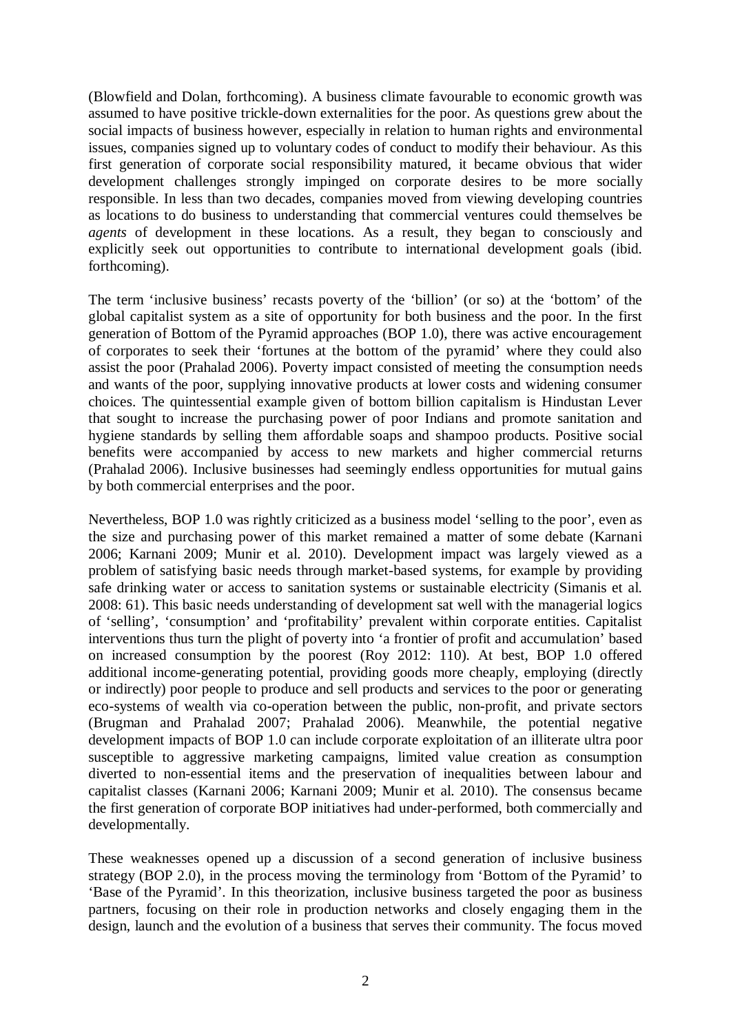(Blowfield and Dolan, forthcoming). A business climate favourable to economic growth was assumed to have positive trickle-down externalities for the poor. As questions grew about the social impacts of business however, especially in relation to human rights and environmental issues, companies signed up to voluntary codes of conduct to modify their behaviour. As this first generation of corporate social responsibility matured, it became obvious that wider development challenges strongly impinged on corporate desires to be more socially responsible. In less than two decades, companies moved from viewing developing countries as locations to do business to understanding that commercial ventures could themselves be *agents* of development in these locations. As a result, they began to consciously and explicitly seek out opportunities to contribute to international development goals (ibid. forthcoming).

The term 'inclusive business' recasts poverty of the 'billion' (or so) at the 'bottom' of the global capitalist system as a site of opportunity for both business and the poor. In the first generation of Bottom of the Pyramid approaches (BOP 1.0), there was active encouragement of corporates to seek their 'fortunes at the bottom of the pyramid' where they could also assist the poor (Prahalad 2006). Poverty impact consisted of meeting the consumption needs and wants of the poor, supplying innovative products at lower costs and widening consumer choices. The quintessential example given of bottom billion capitalism is Hindustan Lever that sought to increase the purchasing power of poor Indians and promote sanitation and hygiene standards by selling them affordable soaps and shampoo products. Positive social benefits were accompanied by access to new markets and higher commercial returns (Prahalad 2006). Inclusive businesses had seemingly endless opportunities for mutual gains by both commercial enterprises and the poor.

Nevertheless, BOP 1.0 was rightly criticized as a business model 'selling to the poor', even as the size and purchasing power of this market remained a matter of some debate (Karnani 2006; Karnani 2009; Munir et al. 2010). Development impact was largely viewed as a problem of satisfying basic needs through market-based systems, for example by providing safe drinking water or access to sanitation systems or sustainable electricity (Simanis et al. 2008: 61). This basic needs understanding of development sat well with the managerial logics of 'selling', 'consumption' and 'profitability' prevalent within corporate entities. Capitalist interventions thus turn the plight of poverty into 'a frontier of profit and accumulation' based on increased consumption by the poorest (Roy 2012: 110). At best, BOP 1.0 offered additional income-generating potential, providing goods more cheaply, employing (directly or indirectly) poor people to produce and sell products and services to the poor or generating eco-systems of wealth via co-operation between the public, non-profit, and private sectors (Brugman and Prahalad 2007; Prahalad 2006). Meanwhile, the potential negative development impacts of BOP 1.0 can include corporate exploitation of an illiterate ultra poor susceptible to aggressive marketing campaigns, limited value creation as consumption diverted to non-essential items and the preservation of inequalities between labour and capitalist classes (Karnani 2006; Karnani 2009; Munir et al. 2010). The consensus became the first generation of corporate BOP initiatives had under-performed, both commercially and developmentally.

These weaknesses opened up a discussion of a second generation of inclusive business strategy (BOP 2.0), in the process moving the terminology from 'Bottom of the Pyramid' to 'Base of the Pyramid'. In this theorization, inclusive business targeted the poor as business partners, focusing on their role in production networks and closely engaging them in the design, launch and the evolution of a business that serves their community. The focus moved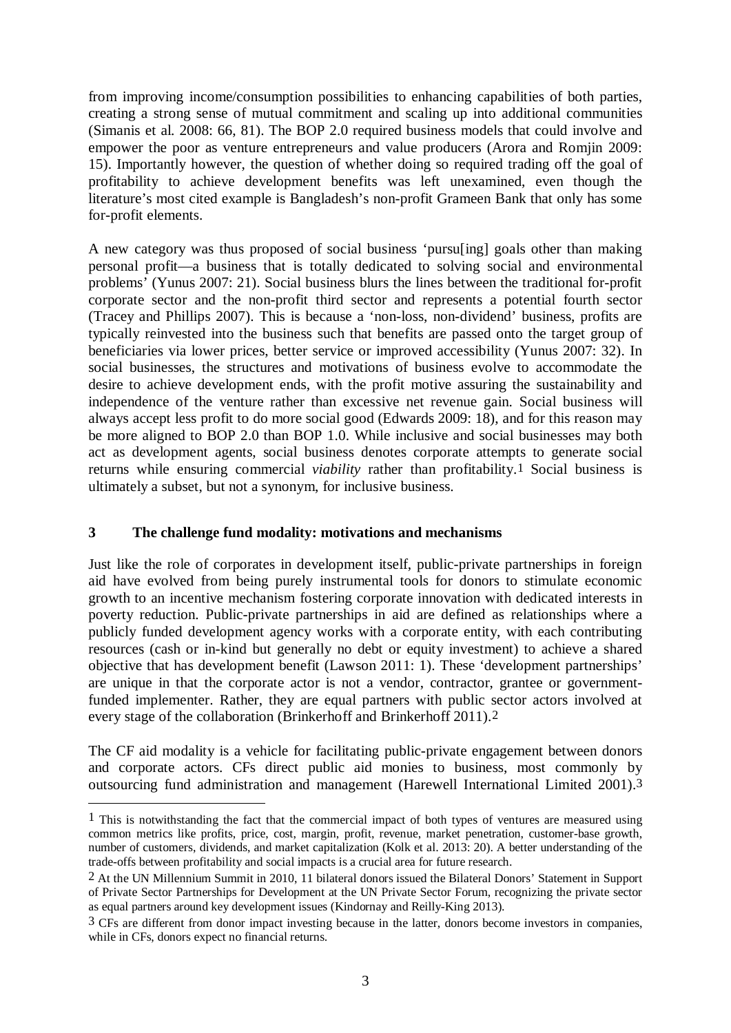from improving income/consumption possibilities to enhancing capabilities of both parties, creating a strong sense of mutual commitment and scaling up into additional communities (Simanis et al. 2008: 66, 81). The BOP 2.0 required business models that could involve and empower the poor as venture entrepreneurs and value producers (Arora and Romjin 2009: 15). Importantly however, the question of whether doing so required trading off the goal of profitability to achieve development benefits was left unexamined, even though the literature's most cited example is Bangladesh's non-profit Grameen Bank that only has some for-profit elements.

A new category was thus proposed of social business 'pursu[ing] goals other than making personal profit—a business that is totally dedicated to solving social and environmental problems' (Yunus 2007: 21). Social business blurs the lines between the traditional for-profit corporate sector and the non-profit third sector and represents a potential fourth sector (Tracey and Phillips 2007). This is because a 'non-loss, non-dividend' business, profits are typically reinvested into the business such that benefits are passed onto the target group of beneficiaries via lower prices, better service or improved accessibility (Yunus 2007: 32). In social businesses, the structures and motivations of business evolve to accommodate the desire to achieve development ends, with the profit motive assuring the sustainability and independence of the venture rather than excessive net revenue gain. Social business will always accept less profit to do more social good (Edwards 2009: 18), and for this reason may be more aligned to BOP 2.0 than BOP 1.0. While inclusive and social businesses may both act as development agents, social business denotes corporate attempts to generate social returns while ensuring commercial *viability* rather than profitability.1 Social business is ultimately a subset, but not a synonym, for inclusive business.

#### **3 The challenge fund modality: motivations and mechanisms**

<u>.</u>

Just like the role of corporates in development itself, public-private partnerships in foreign aid have evolved from being purely instrumental tools for donors to stimulate economic growth to an incentive mechanism fostering corporate innovation with dedicated interests in poverty reduction. Public-private partnerships in aid are defined as relationships where a publicly funded development agency works with a corporate entity, with each contributing resources (cash or in-kind but generally no debt or equity investment) to achieve a shared objective that has development benefit (Lawson 2011: 1). These 'development partnerships' are unique in that the corporate actor is not a vendor, contractor, grantee or governmentfunded implementer. Rather, they are equal partners with public sector actors involved at every stage of the collaboration (Brinkerhoff and Brinkerhoff 2011).2

The CF aid modality is a vehicle for facilitating public-private engagement between donors and corporate actors. CFs direct public aid monies to business, most commonly by outsourcing fund administration and management (Harewell International Limited 2001).3

<sup>1</sup> This is notwithstanding the fact that the commercial impact of both types of ventures are measured using common metrics like profits, price, cost, margin, profit, revenue, market penetration, customer-base growth, number of customers, dividends, and market capitalization (Kolk et al. 2013: 20). A better understanding of the trade-offs between profitability and social impacts is a crucial area for future research.

<sup>2</sup> At the UN Millennium Summit in 2010, 11 bilateral donors issued the Bilateral Donors' Statement in Support of Private Sector Partnerships for Development at the UN Private Sector Forum, recognizing the private sector as equal partners around key development issues (Kindornay and Reilly-King 2013).

<sup>3</sup> CFs are different from donor impact investing because in the latter, donors become investors in companies, while in CFs, donors expect no financial returns.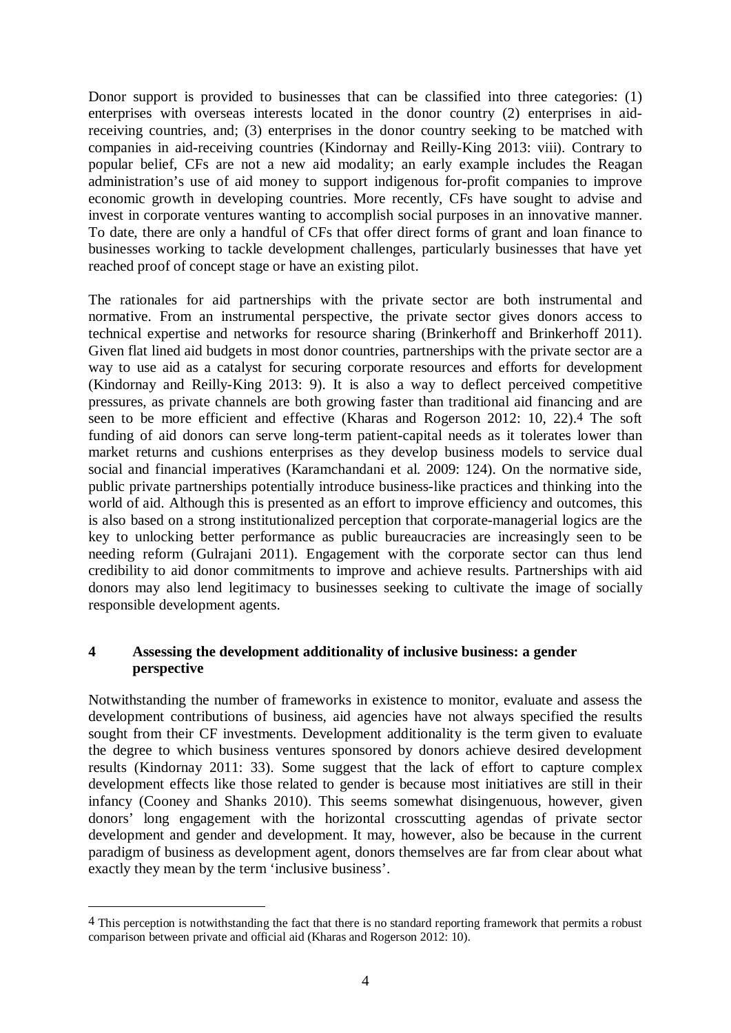Donor support is provided to businesses that can be classified into three categories: (1) enterprises with overseas interests located in the donor country (2) enterprises in aidreceiving countries, and; (3) enterprises in the donor country seeking to be matched with companies in aid-receiving countries (Kindornay and Reilly-King 2013: viii). Contrary to popular belief, CFs are not a new aid modality; an early example includes the Reagan administration's use of aid money to support indigenous for-profit companies to improve economic growth in developing countries. More recently, CFs have sought to advise and invest in corporate ventures wanting to accomplish social purposes in an innovative manner. To date, there are only a handful of CFs that offer direct forms of grant and loan finance to businesses working to tackle development challenges, particularly businesses that have yet reached proof of concept stage or have an existing pilot.

The rationales for aid partnerships with the private sector are both instrumental and normative. From an instrumental perspective, the private sector gives donors access to technical expertise and networks for resource sharing (Brinkerhoff and Brinkerhoff 2011). Given flat lined aid budgets in most donor countries, partnerships with the private sector are a way to use aid as a catalyst for securing corporate resources and efforts for development (Kindornay and Reilly-King 2013: 9). It is also a way to deflect perceived competitive pressures, as private channels are both growing faster than traditional aid financing and are seen to be more efficient and effective (Kharas and Rogerson 2012: 10, 22).4 The soft funding of aid donors can serve long-term patient-capital needs as it tolerates lower than market returns and cushions enterprises as they develop business models to service dual social and financial imperatives (Karamchandani et al. 2009: 124). On the normative side, public private partnerships potentially introduce business-like practices and thinking into the world of aid. Although this is presented as an effort to improve efficiency and outcomes, this is also based on a strong institutionalized perception that corporate-managerial logics are the key to unlocking better performance as public bureaucracies are increasingly seen to be needing reform (Gulrajani 2011). Engagement with the corporate sector can thus lend credibility to aid donor commitments to improve and achieve results. Partnerships with aid donors may also lend legitimacy to businesses seeking to cultivate the image of socially responsible development agents.

#### **4 Assessing the development additionality of inclusive business: a gender perspective**

Notwithstanding the number of frameworks in existence to monitor, evaluate and assess the development contributions of business, aid agencies have not always specified the results sought from their CF investments. Development additionality is the term given to evaluate the degree to which business ventures sponsored by donors achieve desired development results (Kindornay 2011: 33). Some suggest that the lack of effort to capture complex development effects like those related to gender is because most initiatives are still in their infancy (Cooney and Shanks 2010). This seems somewhat disingenuous, however, given donors' long engagement with the horizontal crosscutting agendas of private sector development and gender and development. It may, however, also be because in the current paradigm of business as development agent, donors themselves are far from clear about what exactly they mean by the term 'inclusive business'.

<sup>4</sup> This perception is notwithstanding the fact that there is no standard reporting framework that permits a robust comparison between private and official aid (Kharas and Rogerson 2012: 10).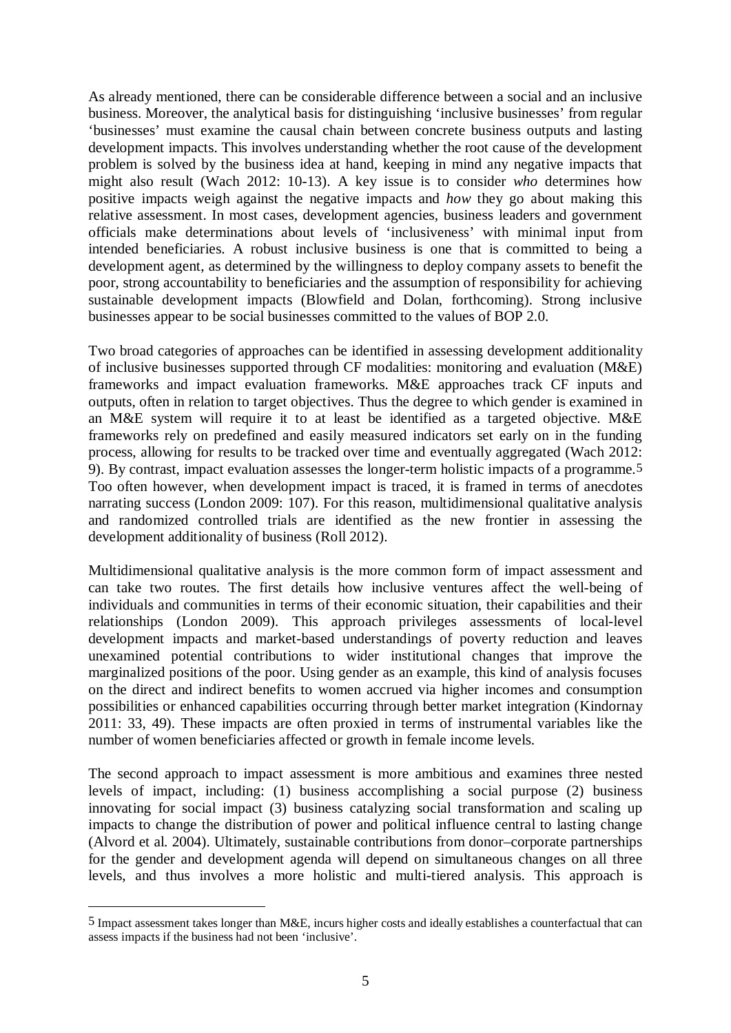As already mentioned, there can be considerable difference between a social and an inclusive business. Moreover, the analytical basis for distinguishing 'inclusive businesses' from regular 'businesses' must examine the causal chain between concrete business outputs and lasting development impacts. This involves understanding whether the root cause of the development problem is solved by the business idea at hand, keeping in mind any negative impacts that might also result (Wach 2012: 10-13). A key issue is to consider *who* determines how positive impacts weigh against the negative impacts and *how* they go about making this relative assessment. In most cases, development agencies, business leaders and government officials make determinations about levels of 'inclusiveness' with minimal input from intended beneficiaries. A robust inclusive business is one that is committed to being a development agent, as determined by the willingness to deploy company assets to benefit the poor, strong accountability to beneficiaries and the assumption of responsibility for achieving sustainable development impacts (Blowfield and Dolan, forthcoming). Strong inclusive businesses appear to be social businesses committed to the values of BOP 2.0.

Two broad categories of approaches can be identified in assessing development additionality of inclusive businesses supported through CF modalities: monitoring and evaluation (M&E) frameworks and impact evaluation frameworks. M&E approaches track CF inputs and outputs, often in relation to target objectives. Thus the degree to which gender is examined in an M&E system will require it to at least be identified as a targeted objective. M&E frameworks rely on predefined and easily measured indicators set early on in the funding process, allowing for results to be tracked over time and eventually aggregated (Wach 2012: 9). By contrast, impact evaluation assesses the longer-term holistic impacts of a programme.5 Too often however, when development impact is traced, it is framed in terms of anecdotes narrating success (London 2009: 107). For this reason, multidimensional qualitative analysis and randomized controlled trials are identified as the new frontier in assessing the development additionality of business (Roll 2012).

Multidimensional qualitative analysis is the more common form of impact assessment and can take two routes. The first details how inclusive ventures affect the well-being of individuals and communities in terms of their economic situation, their capabilities and their relationships (London 2009). This approach privileges assessments of local-level development impacts and market-based understandings of poverty reduction and leaves unexamined potential contributions to wider institutional changes that improve the marginalized positions of the poor. Using gender as an example, this kind of analysis focuses on the direct and indirect benefits to women accrued via higher incomes and consumption possibilities or enhanced capabilities occurring through better market integration (Kindornay 2011: 33, 49). These impacts are often proxied in terms of instrumental variables like the number of women beneficiaries affected or growth in female income levels.

The second approach to impact assessment is more ambitious and examines three nested levels of impact, including: (1) business accomplishing a social purpose (2) business innovating for social impact (3) business catalyzing social transformation and scaling up impacts to change the distribution of power and political influence central to lasting change (Alvord et al. 2004). Ultimately, sustainable contributions from donor–corporate partnerships for the gender and development agenda will depend on simultaneous changes on all three levels, and thus involves a more holistic and multi-tiered analysis. This approach is

<sup>5</sup> Impact assessment takes longer than M&E, incurs higher costs and ideally establishes a counterfactual that can assess impacts if the business had not been 'inclusive'.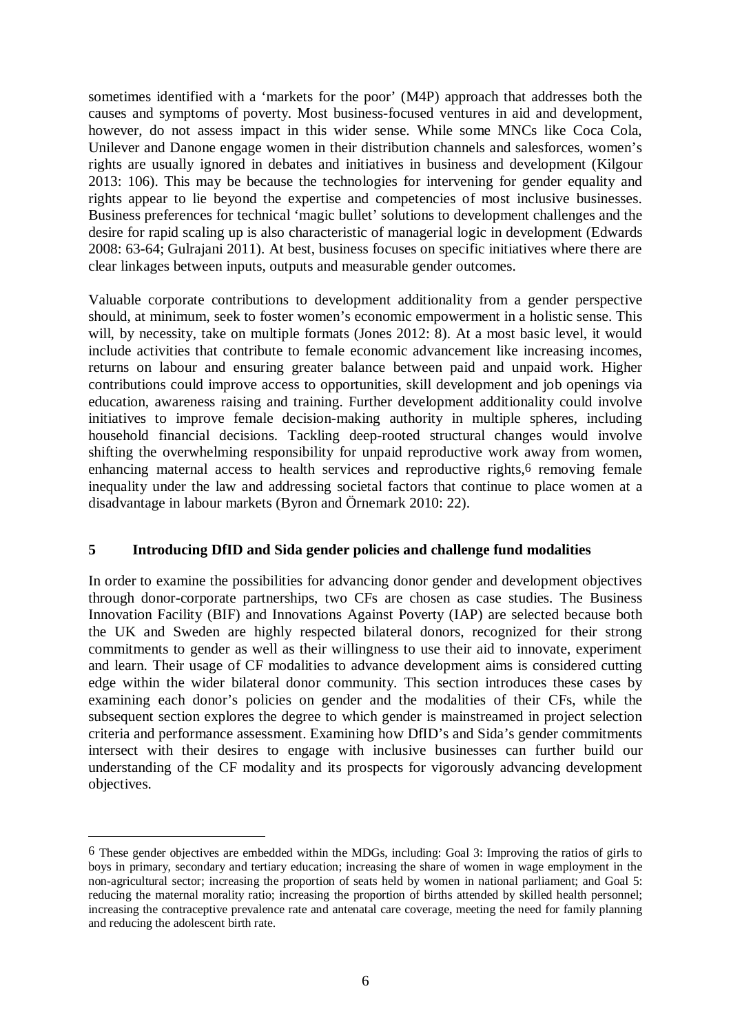sometimes identified with a 'markets for the poor' (M4P) approach that addresses both the causes and symptoms of poverty. Most business-focused ventures in aid and development, however, do not assess impact in this wider sense. While some MNCs like Coca Cola, Unilever and Danone engage women in their distribution channels and salesforces, women's rights are usually ignored in debates and initiatives in business and development (Kilgour 2013: 106). This may be because the technologies for intervening for gender equality and rights appear to lie beyond the expertise and competencies of most inclusive businesses. Business preferences for technical 'magic bullet' solutions to development challenges and the desire for rapid scaling up is also characteristic of managerial logic in development (Edwards 2008: 63-64; Gulrajani 2011). At best, business focuses on specific initiatives where there are clear linkages between inputs, outputs and measurable gender outcomes.

Valuable corporate contributions to development additionality from a gender perspective should, at minimum, seek to foster women's economic empowerment in a holistic sense. This will, by necessity, take on multiple formats (Jones 2012: 8). At a most basic level, it would include activities that contribute to female economic advancement like increasing incomes, returns on labour and ensuring greater balance between paid and unpaid work. Higher contributions could improve access to opportunities, skill development and job openings via education, awareness raising and training. Further development additionality could involve initiatives to improve female decision-making authority in multiple spheres, including household financial decisions. Tackling deep-rooted structural changes would involve shifting the overwhelming responsibility for unpaid reproductive work away from women, enhancing maternal access to health services and reproductive rights,<sup>6</sup> removing female inequality under the law and addressing societal factors that continue to place women at a disadvantage in labour markets (Byron and Örnemark 2010: 22).

#### **5 Introducing DfID and Sida gender policies and challenge fund modalities**

In order to examine the possibilities for advancing donor gender and development objectives through donor-corporate partnerships, two CFs are chosen as case studies. The Business Innovation Facility (BIF) and Innovations Against Poverty (IAP) are selected because both the UK and Sweden are highly respected bilateral donors, recognized for their strong commitments to gender as well as their willingness to use their aid to innovate, experiment and learn. Their usage of CF modalities to advance development aims is considered cutting edge within the wider bilateral donor community. This section introduces these cases by examining each donor's policies on gender and the modalities of their CFs, while the subsequent section explores the degree to which gender is mainstreamed in project selection criteria and performance assessment. Examining how DfID's and Sida's gender commitments intersect with their desires to engage with inclusive businesses can further build our understanding of the CF modality and its prospects for vigorously advancing development objectives.

<u>.</u>

<sup>6</sup> These gender objectives are embedded within the MDGs, including: Goal 3: Improving the ratios of girls to boys in primary, secondary and tertiary education; increasing the share of women in wage employment in the non-agricultural sector; increasing the proportion of seats held by women in national parliament; and Goal 5: reducing the maternal morality ratio; increasing the proportion of births attended by skilled health personnel; increasing the contraceptive prevalence rate and antenatal care coverage, meeting the need for family planning and reducing the adolescent birth rate.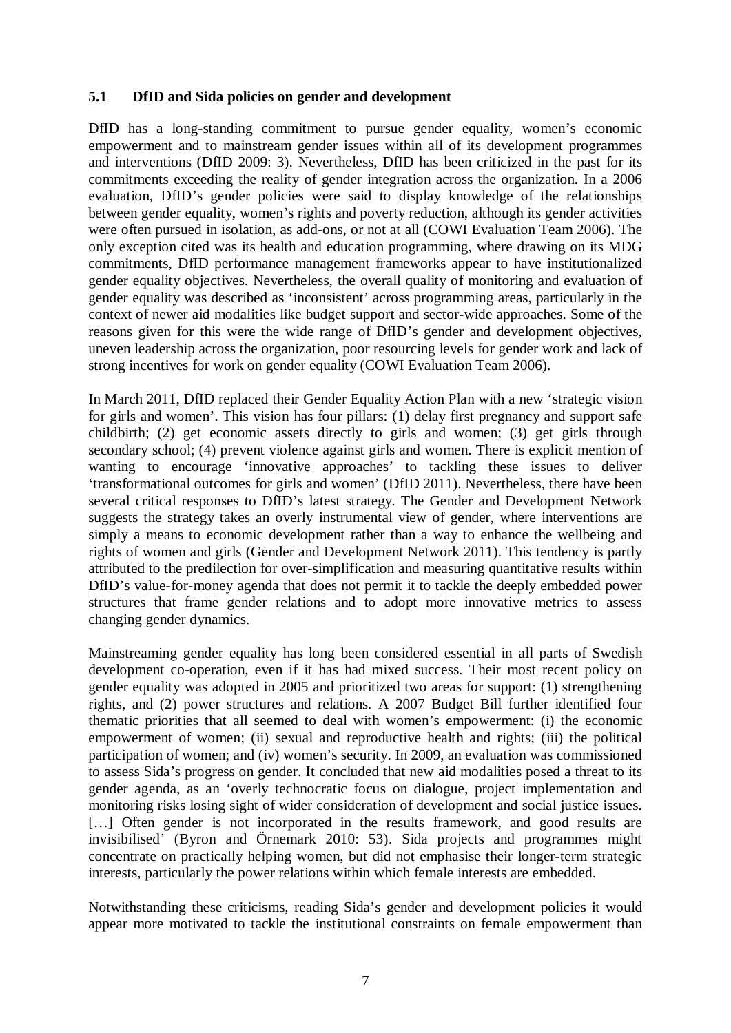#### **5.1 DfID and Sida policies on gender and development**

DfID has a long-standing commitment to pursue gender equality, women's economic empowerment and to mainstream gender issues within all of its development programmes and interventions (DfID 2009: 3). Nevertheless, DfID has been criticized in the past for its commitments exceeding the reality of gender integration across the organization. In a 2006 evaluation, DfID's gender policies were said to display knowledge of the relationships between gender equality, women's rights and poverty reduction, although its gender activities were often pursued in isolation, as add-ons, or not at all (COWI Evaluation Team 2006). The only exception cited was its health and education programming, where drawing on its MDG commitments, DfID performance management frameworks appear to have institutionalized gender equality objectives. Nevertheless, the overall quality of monitoring and evaluation of gender equality was described as 'inconsistent' across programming areas, particularly in the context of newer aid modalities like budget support and sector-wide approaches. Some of the reasons given for this were the wide range of DfID's gender and development objectives, uneven leadership across the organization, poor resourcing levels for gender work and lack of strong incentives for work on gender equality (COWI Evaluation Team 2006).

In March 2011, DfID replaced their Gender Equality Action Plan with a new 'strategic vision for girls and women'. This vision has four pillars: (1) delay first pregnancy and support safe childbirth; (2) get economic assets directly to girls and women; (3) get girls through secondary school; (4) prevent violence against girls and women. There is explicit mention of wanting to encourage 'innovative approaches' to tackling these issues to deliver 'transformational outcomes for girls and women' (DfID 2011). Nevertheless, there have been several critical responses to DfID's latest strategy. The Gender and Development Network suggests the strategy takes an overly instrumental view of gender, where interventions are simply a means to economic development rather than a way to enhance the wellbeing and rights of women and girls (Gender and Development Network 2011). This tendency is partly attributed to the predilection for over-simplification and measuring quantitative results within DfID's value-for-money agenda that does not permit it to tackle the deeply embedded power structures that frame gender relations and to adopt more innovative metrics to assess changing gender dynamics.

Mainstreaming gender equality has long been considered essential in all parts of Swedish development co-operation, even if it has had mixed success. Their most recent policy on gender equality was adopted in 2005 and prioritized two areas for support: (1) strengthening rights, and (2) power structures and relations. A 2007 Budget Bill further identified four thematic priorities that all seemed to deal with women's empowerment: (i) the economic empowerment of women; (ii) sexual and reproductive health and rights; (iii) the political participation of women; and (iv) women's security. In 2009, an evaluation was commissioned to assess Sida's progress on gender. It concluded that new aid modalities posed a threat to its gender agenda, as an 'overly technocratic focus on dialogue, project implementation and monitoring risks losing sight of wider consideration of development and social justice issues. [...] Often gender is not incorporated in the results framework, and good results are invisibilised' (Byron and Örnemark 2010: 53). Sida projects and programmes might concentrate on practically helping women, but did not emphasise their longer-term strategic interests, particularly the power relations within which female interests are embedded.

Notwithstanding these criticisms, reading Sida's gender and development policies it would appear more motivated to tackle the institutional constraints on female empowerment than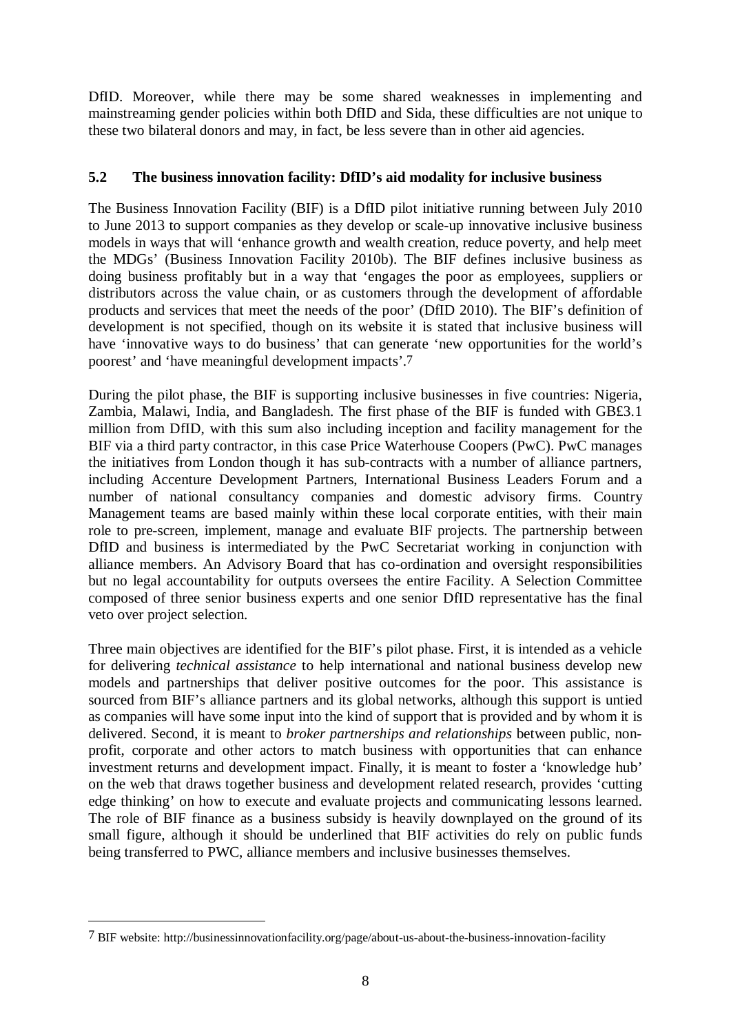DfID. Moreover, while there may be some shared weaknesses in implementing and mainstreaming gender policies within both DfID and Sida, these difficulties are not unique to these two bilateral donors and may, in fact, be less severe than in other aid agencies.

#### **5.2 The business innovation facility: DfID's aid modality for inclusive business**

The Business Innovation Facility (BIF) is a DfID pilot initiative running between July 2010 to June 2013 to support companies as they develop or scale-up innovative inclusive business models in ways that will 'enhance growth and wealth creation, reduce poverty, and help meet the MDGs' (Business Innovation Facility 2010b). The BIF defines inclusive business as doing business profitably but in a way that 'engages the poor as employees, suppliers or distributors across the value chain, or as customers through the development of affordable products and services that meet the needs of the poor' (DfID 2010). The BIF's definition of development is not specified, though on its website it is stated that inclusive business will have 'innovative ways to do business' that can generate 'new opportunities for the world's poorest' and 'have meaningful development impacts'.7

During the pilot phase, the BIF is supporting inclusive businesses in five countries: Nigeria, Zambia, Malawi, India, and Bangladesh. The first phase of the BIF is funded with GB£3.1 million from DfID, with this sum also including inception and facility management for the BIF via a third party contractor, in this case Price Waterhouse Coopers (PwC). PwC manages the initiatives from London though it has sub-contracts with a number of alliance partners, including Accenture Development Partners, International Business Leaders Forum and a number of national consultancy companies and domestic advisory firms. Country Management teams are based mainly within these local corporate entities, with their main role to pre-screen, implement, manage and evaluate BIF projects. The partnership between DfID and business is intermediated by the PwC Secretariat working in conjunction with alliance members. An Advisory Board that has co-ordination and oversight responsibilities but no legal accountability for outputs oversees the entire Facility. A Selection Committee composed of three senior business experts and one senior DfID representative has the final veto over project selection.

Three main objectives are identified for the BIF's pilot phase. First, it is intended as a vehicle for delivering *technical assistance* to help international and national business develop new models and partnerships that deliver positive outcomes for the poor. This assistance is sourced from BIF's alliance partners and its global networks, although this support is untied as companies will have some input into the kind of support that is provided and by whom it is delivered. Second, it is meant to *broker partnerships and relationships* between public, nonprofit, corporate and other actors to match business with opportunities that can enhance investment returns and development impact. Finally, it is meant to foster a 'knowledge hub' on the web that draws together business and development related research, provides 'cutting edge thinking' on how to execute and evaluate projects and communicating lessons learned. The role of BIF finance as a business subsidy is heavily downplayed on the ground of its small figure, although it should be underlined that BIF activities do rely on public funds being transferred to PWC, alliance members and inclusive businesses themselves.

<sup>7</sup> BIF website: http://businessinnovationfacility.org/page/about-us-about-the-business-innovation-facility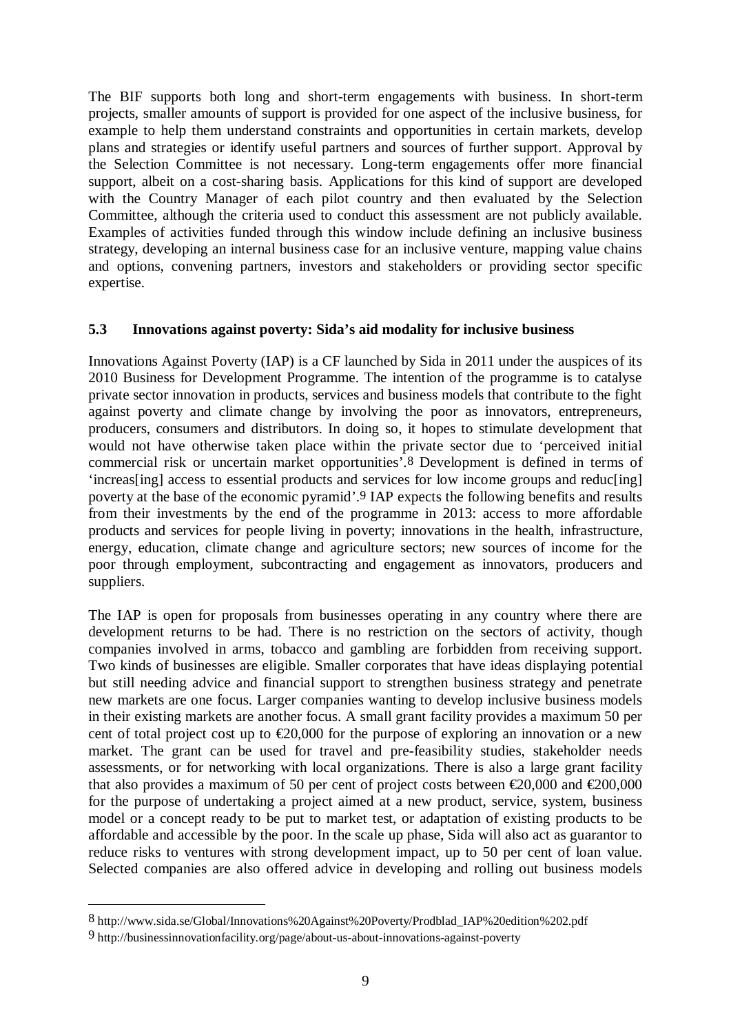The BIF supports both long and short-term engagements with business. In short-term projects, smaller amounts of support is provided for one aspect of the inclusive business, for example to help them understand constraints and opportunities in certain markets, develop plans and strategies or identify useful partners and sources of further support. Approval by the Selection Committee is not necessary. Long-term engagements offer more financial support, albeit on a cost-sharing basis. Applications for this kind of support are developed with the Country Manager of each pilot country and then evaluated by the Selection Committee, although the criteria used to conduct this assessment are not publicly available. Examples of activities funded through this window include defining an inclusive business strategy, developing an internal business case for an inclusive venture, mapping value chains and options, convening partners, investors and stakeholders or providing sector specific expertise.

#### **5.3 Innovations against poverty: Sida's aid modality for inclusive business**

Innovations Against Poverty (IAP) is a CF launched by Sida in 2011 under the auspices of its 2010 Business for Development Programme. The intention of the programme is to catalyse private sector innovation in products, services and business models that contribute to the fight against poverty and climate change by involving the poor as innovators, entrepreneurs, producers, consumers and distributors. In doing so, it hopes to stimulate development that would not have otherwise taken place within the private sector due to 'perceived initial commercial risk or uncertain market opportunities'.8 Development is defined in terms of 'increas[ing] access to essential products and services for low income groups and reduc[ing] poverty at the base of the economic pyramid'.9 IAP expects the following benefits and results from their investments by the end of the programme in 2013: access to more affordable products and services for people living in poverty; innovations in the health, infrastructure, energy, education, climate change and agriculture sectors; new sources of income for the poor through employment, subcontracting and engagement as innovators, producers and suppliers.

The IAP is open for proposals from businesses operating in any country where there are development returns to be had. There is no restriction on the sectors of activity, though companies involved in arms, tobacco and gambling are forbidden from receiving support. Two kinds of businesses are eligible. Smaller corporates that have ideas displaying potential but still needing advice and financial support to strengthen business strategy and penetrate new markets are one focus. Larger companies wanting to develop inclusive business models in their existing markets are another focus. A small grant facility provides a maximum 50 per cent of total project cost up to  $\epsilon$ 20,000 for the purpose of exploring an innovation or a new market. The grant can be used for travel and pre-feasibility studies, stakeholder needs assessments, or for networking with local organizations. There is also a large grant facility that also provides a maximum of 50 per cent of project costs between  $\epsilon 20,000$  and  $\epsilon 200,000$ for the purpose of undertaking a project aimed at a new product, service, system, business model or a concept ready to be put to market test, or adaptation of existing products to be affordable and accessible by the poor. In the scale up phase, Sida will also act as guarantor to reduce risks to ventures with strong development impact, up to 50 per cent of loan value. Selected companies are also offered advice in developing and rolling out business models

<sup>8</sup> http://www.sida.se/Global/Innovations%20Against%20Poverty/Prodblad\_IAP%20edition%202.pdf

<sup>9</sup> http://businessinnovationfacility.org/page/about-us-about-innovations-against-poverty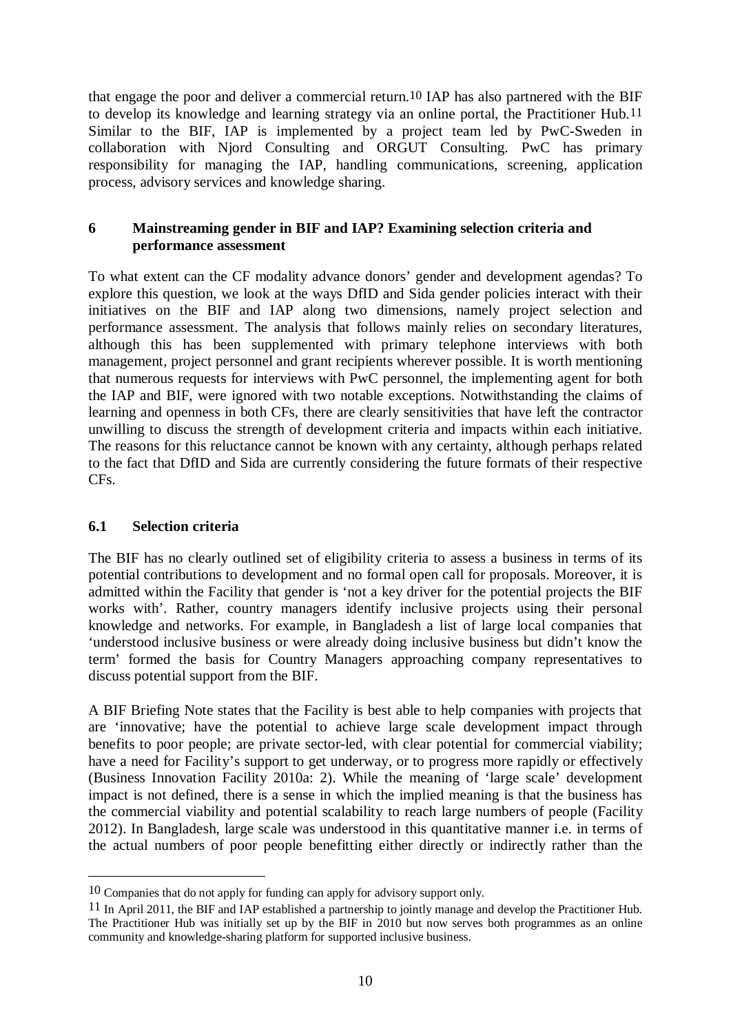that engage the poor and deliver a commercial return.10 IAP has also partnered with the BIF to develop its knowledge and learning strategy via an online portal, the Practitioner Hub.11 Similar to the BIF, IAP is implemented by a project team led by PwC-Sweden in collaboration with Njord Consulting and ORGUT Consulting. PwC has primary responsibility for managing the IAP, handling communications, screening, application process, advisory services and knowledge sharing.

#### **6 Mainstreaming gender in BIF and IAP? Examining selection criteria and performance assessment**

To what extent can the CF modality advance donors' gender and development agendas? To explore this question, we look at the ways DfID and Sida gender policies interact with their initiatives on the BIF and IAP along two dimensions, namely project selection and performance assessment. The analysis that follows mainly relies on secondary literatures, although this has been supplemented with primary telephone interviews with both management, project personnel and grant recipients wherever possible. It is worth mentioning that numerous requests for interviews with PwC personnel, the implementing agent for both the IAP and BIF, were ignored with two notable exceptions. Notwithstanding the claims of learning and openness in both CFs, there are clearly sensitivities that have left the contractor unwilling to discuss the strength of development criteria and impacts within each initiative. The reasons for this reluctance cannot be known with any certainty, although perhaps related to the fact that DfID and Sida are currently considering the future formats of their respective CFs.

#### **6.1 Selection criteria**

<u>.</u>

The BIF has no clearly outlined set of eligibility criteria to assess a business in terms of its potential contributions to development and no formal open call for proposals. Moreover, it is admitted within the Facility that gender is 'not a key driver for the potential projects the BIF works with'. Rather, country managers identify inclusive projects using their personal knowledge and networks. For example, in Bangladesh a list of large local companies that 'understood inclusive business or were already doing inclusive business but didn't know the term' formed the basis for Country Managers approaching company representatives to discuss potential support from the BIF.

A BIF Briefing Note states that the Facility is best able to help companies with projects that are 'innovative; have the potential to achieve large scale development impact through benefits to poor people; are private sector-led, with clear potential for commercial viability; have a need for Facility's support to get underway, or to progress more rapidly or effectively (Business Innovation Facility 2010a: 2). While the meaning of 'large scale' development impact is not defined, there is a sense in which the implied meaning is that the business has the commercial viability and potential scalability to reach large numbers of people (Facility 2012). In Bangladesh, large scale was understood in this quantitative manner i.e. in terms of the actual numbers of poor people benefitting either directly or indirectly rather than the

<sup>10</sup> Companies that do not apply for funding can apply for advisory support only.

<sup>11</sup> In April 2011, the BIF and IAP established a partnership to jointly manage and develop the Practitioner Hub. The Practitioner Hub was initially set up by the BIF in 2010 but now serves both programmes as an online community and knowledge-sharing platform for supported inclusive business.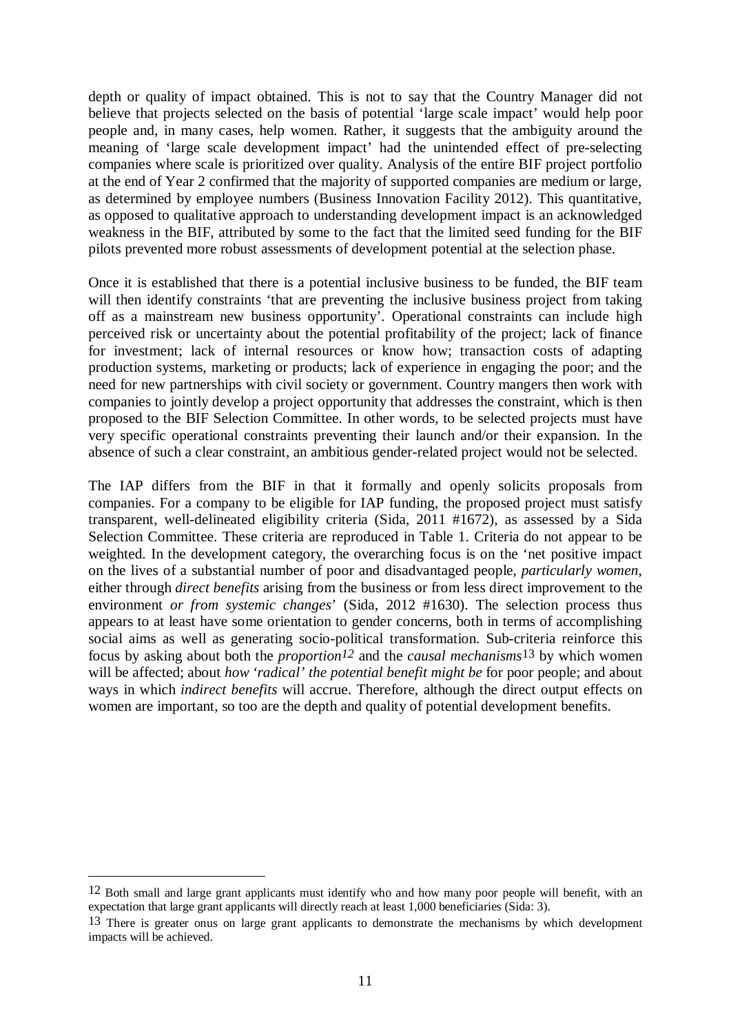depth or quality of impact obtained. This is not to say that the Country Manager did not believe that projects selected on the basis of potential 'large scale impact' would help poor people and, in many cases, help women. Rather, it suggests that the ambiguity around the meaning of 'large scale development impact' had the unintended effect of pre-selecting companies where scale is prioritized over quality. Analysis of the entire BIF project portfolio at the end of Year 2 confirmed that the majority of supported companies are medium or large, as determined by employee numbers (Business Innovation Facility 2012). This quantitative, as opposed to qualitative approach to understanding development impact is an acknowledged weakness in the BIF, attributed by some to the fact that the limited seed funding for the BIF pilots prevented more robust assessments of development potential at the selection phase.

Once it is established that there is a potential inclusive business to be funded, the BIF team will then identify constraints 'that are preventing the inclusive business project from taking off as a mainstream new business opportunity'. Operational constraints can include high perceived risk or uncertainty about the potential profitability of the project; lack of finance for investment; lack of internal resources or know how; transaction costs of adapting production systems, marketing or products; lack of experience in engaging the poor; and the need for new partnerships with civil society or government. Country mangers then work with companies to jointly develop a project opportunity that addresses the constraint, which is then proposed to the BIF Selection Committee. In other words, to be selected projects must have very specific operational constraints preventing their launch and/or their expansion. In the absence of such a clear constraint, an ambitious gender-related project would not be selected.

The IAP differs from the BIF in that it formally and openly solicits proposals from companies. For a company to be eligible for IAP funding, the proposed project must satisfy transparent, well-delineated eligibility criteria (Sida, 2011 #1672), as assessed by a Sida Selection Committee. These criteria are reproduced in Table 1. Criteria do not appear to be weighted. In the development category, the overarching focus is on the 'net positive impact on the lives of a substantial number of poor and disadvantaged people, *particularly women*, either through *direct benefits* arising from the business or from less direct improvement to the environment *or from systemic changes*' (Sida, 2012 #1630). The selection process thus appears to at least have some orientation to gender concerns, both in terms of accomplishing social aims as well as generating socio-political transformation. Sub-criteria reinforce this focus by asking about both the *proportion12* and the *causal mechanisms*13 by which women will be affected; about *how 'radical' the potential benefit might be* for poor people; and about ways in which *indirect benefits* will accrue. Therefore, although the direct output effects on women are important, so too are the depth and quality of potential development benefits.

<u>.</u>

<sup>12</sup> Both small and large grant applicants must identify who and how many poor people will benefit, with an expectation that large grant applicants will directly reach at least 1,000 beneficiaries (Sida: 3).

<sup>&</sup>lt;sup>13</sup> There is greater onus on large grant applicants to demonstrate the mechanisms by which development impacts will be achieved.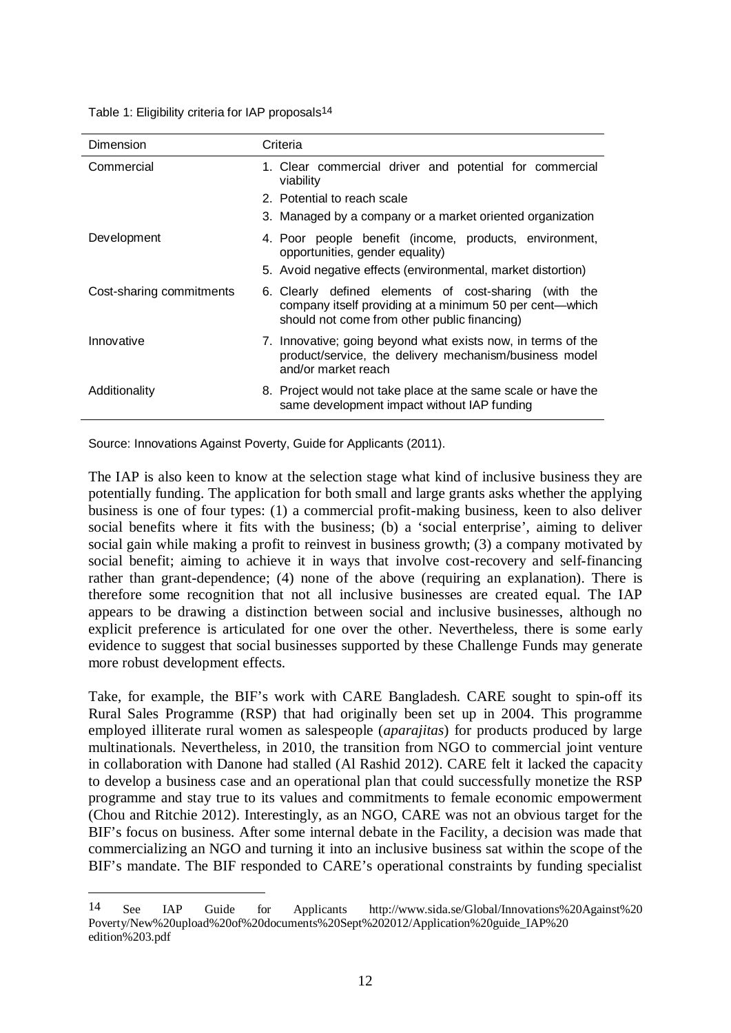| Dimension                | Criteria                                                                                                                                                         |
|--------------------------|------------------------------------------------------------------------------------------------------------------------------------------------------------------|
| Commercial               | 1. Clear commercial driver and potential for commercial<br>viability                                                                                             |
|                          | 2. Potential to reach scale                                                                                                                                      |
|                          | 3. Managed by a company or a market oriented organization                                                                                                        |
| Development              | 4. Poor people benefit (income, products, environment,<br>opportunities, gender equality)                                                                        |
|                          | 5. Avoid negative effects (environmental, market distortion)                                                                                                     |
| Cost-sharing commitments | 6. Clearly defined elements of cost-sharing (with the<br>company itself providing at a minimum 50 per cent—which<br>should not come from other public financing) |
| Innovative               | 7. Innovative; going beyond what exists now, in terms of the<br>product/service, the delivery mechanism/business model<br>and/or market reach                    |
| Additionality            | 8. Project would not take place at the same scale or have the<br>same development impact without IAP funding                                                     |

Source: Innovations Against Poverty, Guide for Applicants (2011).

1

The IAP is also keen to know at the selection stage what kind of inclusive business they are potentially funding. The application for both small and large grants asks whether the applying business is one of four types: (1) a commercial profit-making business, keen to also deliver social benefits where it fits with the business; (b) a 'social enterprise', aiming to deliver social gain while making a profit to reinvest in business growth; (3) a company motivated by social benefit; aiming to achieve it in ways that involve cost-recovery and self-financing rather than grant-dependence; (4) none of the above (requiring an explanation). There is therefore some recognition that not all inclusive businesses are created equal. The IAP appears to be drawing a distinction between social and inclusive businesses, although no explicit preference is articulated for one over the other. Nevertheless, there is some early evidence to suggest that social businesses supported by these Challenge Funds may generate more robust development effects.

Take, for example, the BIF's work with CARE Bangladesh. CARE sought to spin-off its Rural Sales Programme (RSP) that had originally been set up in 2004. This programme employed illiterate rural women as salespeople (*aparajitas*) for products produced by large multinationals. Nevertheless, in 2010, the transition from NGO to commercial joint venture in collaboration with Danone had stalled (Al Rashid 2012). CARE felt it lacked the capacity to develop a business case and an operational plan that could successfully monetize the RSP programme and stay true to its values and commitments to female economic empowerment (Chou and Ritchie 2012). Interestingly, as an NGO, CARE was not an obvious target for the BIF's focus on business. After some internal debate in the Facility, a decision was made that commercializing an NGO and turning it into an inclusive business sat within the scope of the BIF's mandate. The BIF responded to CARE's operational constraints by funding specialist

<sup>14</sup> See IAP Guide for Applicants http://www.sida.se/Global/Innovations%20Against%20 Poverty/New%20upload%20of%20documents%20Sept%202012/Application%20guide\_IAP%20 edition%203.pdf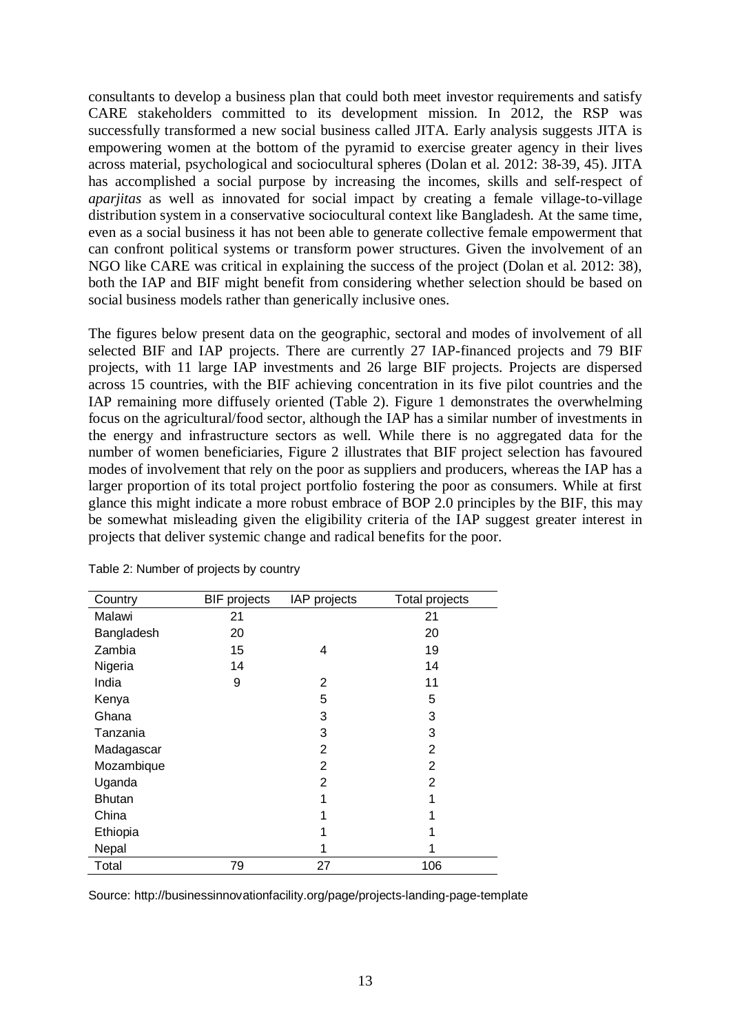consultants to develop a business plan that could both meet investor requirements and satisfy CARE stakeholders committed to its development mission. In 2012, the RSP was successfully transformed a new social business called JITA. Early analysis suggests JITA is empowering women at the bottom of the pyramid to exercise greater agency in their lives across material, psychological and sociocultural spheres (Dolan et al. 2012: 38-39, 45). JITA has accomplished a social purpose by increasing the incomes, skills and self-respect of *aparjitas* as well as innovated for social impact by creating a female village-to-village distribution system in a conservative sociocultural context like Bangladesh. At the same time, even as a social business it has not been able to generate collective female empowerment that can confront political systems or transform power structures. Given the involvement of an NGO like CARE was critical in explaining the success of the project (Dolan et al. 2012: 38), both the IAP and BIF might benefit from considering whether selection should be based on social business models rather than generically inclusive ones.

The figures below present data on the geographic, sectoral and modes of involvement of all selected BIF and IAP projects. There are currently 27 IAP-financed projects and 79 BIF projects, with 11 large IAP investments and 26 large BIF projects. Projects are dispersed across 15 countries, with the BIF achieving concentration in its five pilot countries and the IAP remaining more diffusely oriented (Table 2). Figure 1 demonstrates the overwhelming focus on the agricultural/food sector, although the IAP has a similar number of investments in the energy and infrastructure sectors as well. While there is no aggregated data for the number of women beneficiaries, Figure 2 illustrates that BIF project selection has favoured modes of involvement that rely on the poor as suppliers and producers, whereas the IAP has a larger proportion of its total project portfolio fostering the poor as consumers. While at first glance this might indicate a more robust embrace of BOP 2.0 principles by the BIF, this may be somewhat misleading given the eligibility criteria of the IAP suggest greater interest in projects that deliver systemic change and radical benefits for the poor.

| Country       | <b>BIF</b> projects | IAP projects | Total projects |
|---------------|---------------------|--------------|----------------|
| Malawi        | 21                  |              | 21             |
| Bangladesh    | 20                  |              | 20             |
| Zambia        | 15                  | 4            | 19             |
| Nigeria       | 14                  |              | 14             |
| India         | 9                   | 2            | 11             |
| Kenya         |                     | 5            | 5              |
| Ghana         |                     | 3            | 3              |
| Tanzania      |                     | 3            | 3              |
| Madagascar    |                     | 2            | 2              |
| Mozambique    |                     | 2            | 2              |
| Uganda        |                     | 2            | 2              |
| <b>Bhutan</b> |                     | 1            | 1              |
| China         |                     |              |                |
| Ethiopia      |                     |              |                |
| Nepal         |                     |              |                |
| Total         | 79                  | 27           | 106            |

Table 2: Number of projects by country

Source: http://businessinnovationfacility.org/page/projects-landing-page-template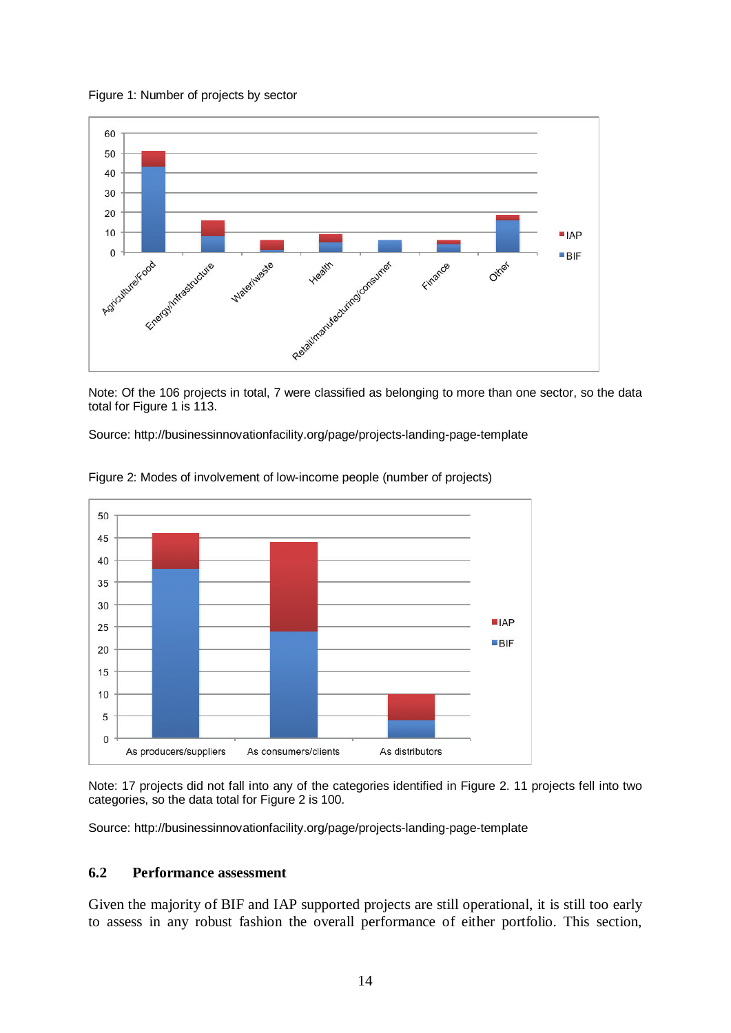Figure 1: Number of projects by sector



Note: Of the 106 projects in total, 7 were classified as belonging to more than one sector, so the data total for Figure 1 is 113.

Source: http://businessinnovationfacility.org/page/projects-landing-page-template



Figure 2: Modes of involvement of low-income people (number of projects)

Note: 17 projects did not fall into any of the categories identified in Figure 2. 11 projects fell into two categories, so the data total for Figure 2 is 100.

Source: http://businessinnovationfacility.org/page/projects-landing-page-template

### **6.2 Performance assessment**

Given the majority of BIF and IAP supported projects are still operational, it is still too early to assess in any robust fashion the overall performance of either portfolio. This section,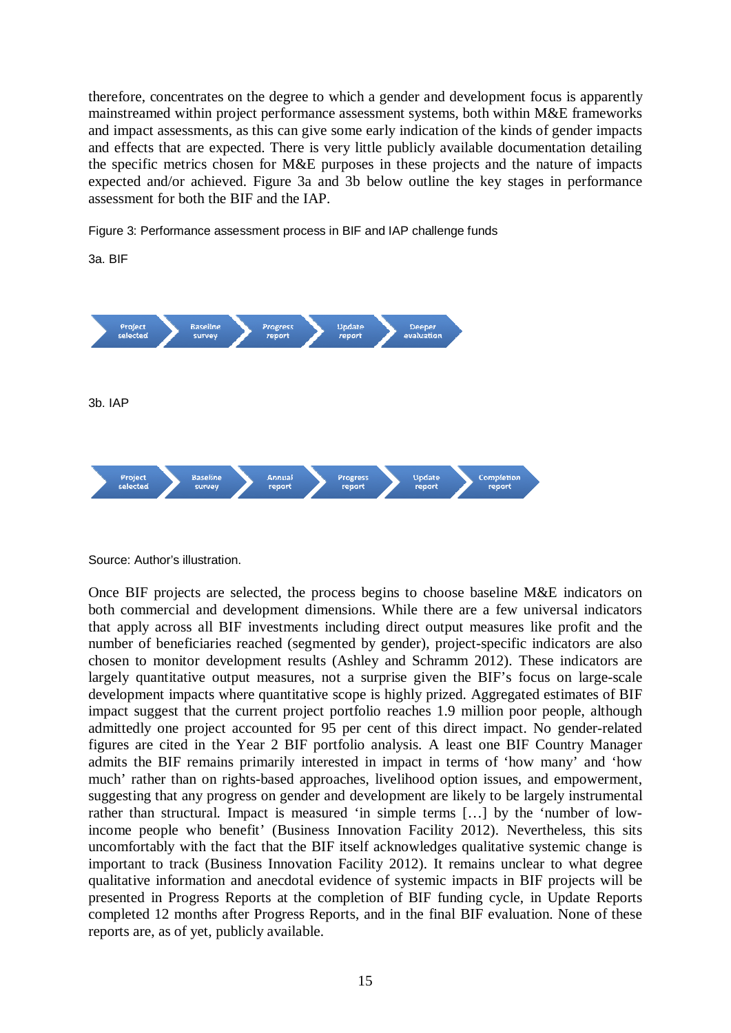therefore, concentrates on the degree to which a gender and development focus is apparently mainstreamed within project performance assessment systems, both within M&E frameworks and impact assessments, as this can give some early indication of the kinds of gender impacts and effects that are expected. There is very little publicly available documentation detailing the specific metrics chosen for M&E purposes in these projects and the nature of impacts expected and/or achieved. Figure 3a and 3b below outline the key stages in performance assessment for both the BIF and the IAP.

Figure 3: Performance assessment process in BIF and IAP challenge funds



Source: Author's illustration.

Once BIF projects are selected, the process begins to choose baseline M&E indicators on both commercial and development dimensions. While there are a few universal indicators that apply across all BIF investments including direct output measures like profit and the number of beneficiaries reached (segmented by gender), project-specific indicators are also chosen to monitor development results (Ashley and Schramm 2012). These indicators are largely quantitative output measures, not a surprise given the BIF's focus on large-scale development impacts where quantitative scope is highly prized. Aggregated estimates of BIF impact suggest that the current project portfolio reaches 1.9 million poor people, although admittedly one project accounted for 95 per cent of this direct impact. No gender-related figures are cited in the Year 2 BIF portfolio analysis. A least one BIF Country Manager admits the BIF remains primarily interested in impact in terms of 'how many' and 'how much' rather than on rights-based approaches, livelihood option issues, and empowerment, suggesting that any progress on gender and development are likely to be largely instrumental rather than structural. Impact is measured 'in simple terms […] by the 'number of lowincome people who benefit' (Business Innovation Facility 2012). Nevertheless, this sits uncomfortably with the fact that the BIF itself acknowledges qualitative systemic change is important to track (Business Innovation Facility 2012). It remains unclear to what degree qualitative information and anecdotal evidence of systemic impacts in BIF projects will be presented in Progress Reports at the completion of BIF funding cycle, in Update Reports completed 12 months after Progress Reports, and in the final BIF evaluation. None of these reports are, as of yet, publicly available.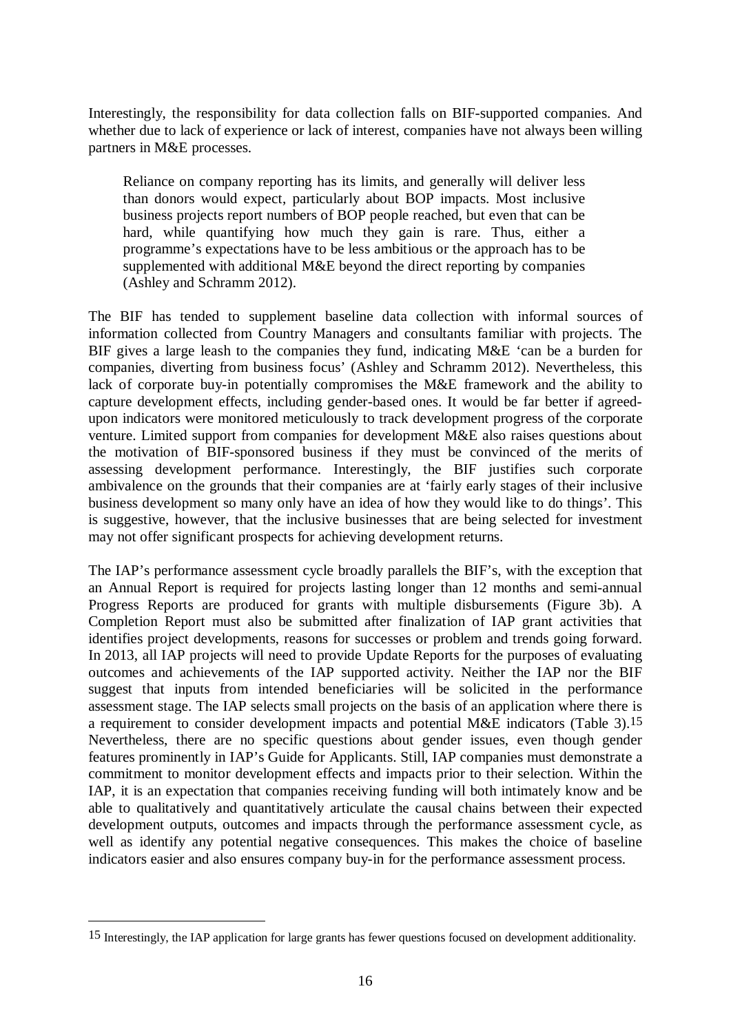Interestingly, the responsibility for data collection falls on BIF-supported companies. And whether due to lack of experience or lack of interest, companies have not always been willing partners in M&E processes.

Reliance on company reporting has its limits, and generally will deliver less than donors would expect, particularly about BOP impacts. Most inclusive business projects report numbers of BOP people reached, but even that can be hard, while quantifying how much they gain is rare. Thus, either a programme's expectations have to be less ambitious or the approach has to be supplemented with additional M&E beyond the direct reporting by companies (Ashley and Schramm 2012).

The BIF has tended to supplement baseline data collection with informal sources of information collected from Country Managers and consultants familiar with projects. The BIF gives a large leash to the companies they fund, indicating M&E 'can be a burden for companies, diverting from business focus' (Ashley and Schramm 2012). Nevertheless, this lack of corporate buy-in potentially compromises the M&E framework and the ability to capture development effects, including gender-based ones. It would be far better if agreedupon indicators were monitored meticulously to track development progress of the corporate venture. Limited support from companies for development M&E also raises questions about the motivation of BIF-sponsored business if they must be convinced of the merits of assessing development performance. Interestingly, the BIF justifies such corporate ambivalence on the grounds that their companies are at 'fairly early stages of their inclusive business development so many only have an idea of how they would like to do things'. This is suggestive, however, that the inclusive businesses that are being selected for investment may not offer significant prospects for achieving development returns.

The IAP's performance assessment cycle broadly parallels the BIF's, with the exception that an Annual Report is required for projects lasting longer than 12 months and semi-annual Progress Reports are produced for grants with multiple disbursements (Figure 3b). A Completion Report must also be submitted after finalization of IAP grant activities that identifies project developments, reasons for successes or problem and trends going forward. In 2013, all IAP projects will need to provide Update Reports for the purposes of evaluating outcomes and achievements of the IAP supported activity. Neither the IAP nor the BIF suggest that inputs from intended beneficiaries will be solicited in the performance assessment stage. The IAP selects small projects on the basis of an application where there is a requirement to consider development impacts and potential M&E indicators (Table 3).15 Nevertheless, there are no specific questions about gender issues, even though gender features prominently in IAP's Guide for Applicants. Still, IAP companies must demonstrate a commitment to monitor development effects and impacts prior to their selection. Within the IAP, it is an expectation that companies receiving funding will both intimately know and be able to qualitatively and quantitatively articulate the causal chains between their expected development outputs, outcomes and impacts through the performance assessment cycle, as well as identify any potential negative consequences. This makes the choice of baseline indicators easier and also ensures company buy-in for the performance assessment process.

<sup>15</sup> Interestingly, the IAP application for large grants has fewer questions focused on development additionality.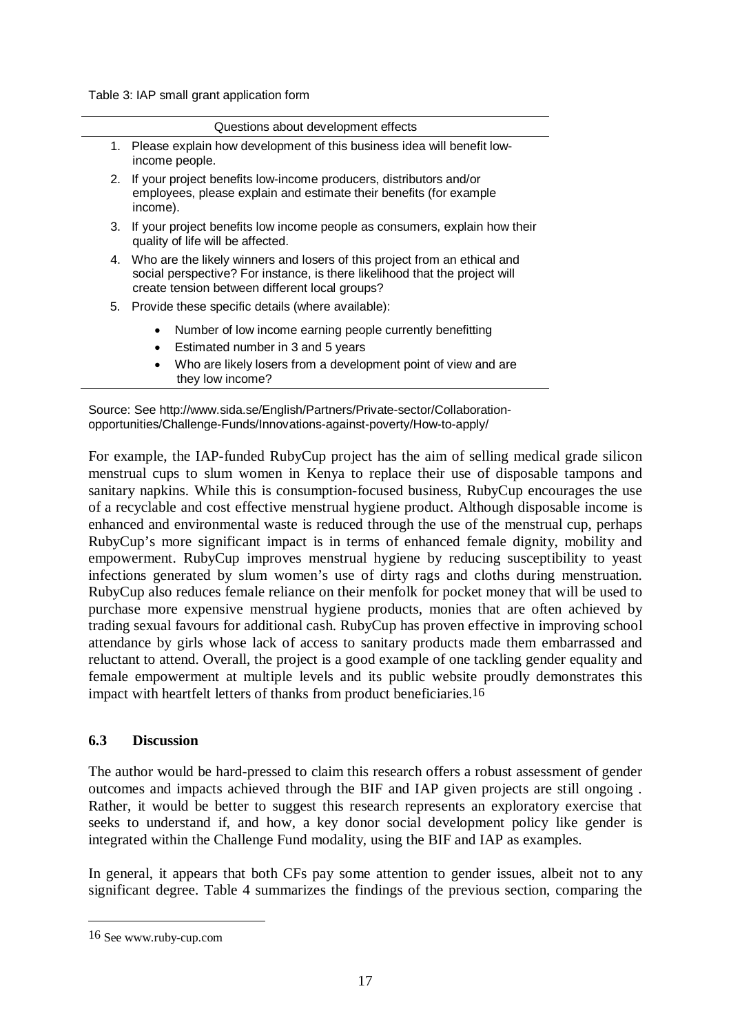Table 3: IAP small grant application form

| Questions about development effects |                                                                                                                                                                                                               |  |  |  |
|-------------------------------------|---------------------------------------------------------------------------------------------------------------------------------------------------------------------------------------------------------------|--|--|--|
|                                     | 1. Please explain how development of this business idea will benefit low-<br>income people.                                                                                                                   |  |  |  |
|                                     | 2. If your project benefits low-income producers, distributors and/or<br>employees, please explain and estimate their benefits (for example<br>income).                                                       |  |  |  |
|                                     | 3. If your project benefits low income people as consumers, explain how their<br>quality of life will be affected.                                                                                            |  |  |  |
|                                     | 4. Who are the likely winners and losers of this project from an ethical and<br>social perspective? For instance, is there likelihood that the project will<br>create tension between different local groups? |  |  |  |
|                                     | 5. Provide these specific details (where available):                                                                                                                                                          |  |  |  |
|                                     | Number of low income earning people currently benefitting<br>$\bullet$<br>Estimated number in 3 and 5 years<br>$\bullet$                                                                                      |  |  |  |
|                                     | Who are likely losers from a development point of view and are<br>$\bullet$<br>they low income?                                                                                                               |  |  |  |

Source: See http://www.sida.se/English/Partners/Private-sector/Collaborationopportunities/Challenge-Funds/Innovations-against-poverty/How-to-apply/

For example, the IAP-funded RubyCup project has the aim of selling medical grade silicon menstrual cups to slum women in Kenya to replace their use of disposable tampons and sanitary napkins. While this is consumption-focused business, RubyCup encourages the use of a recyclable and cost effective menstrual hygiene product. Although disposable income is enhanced and environmental waste is reduced through the use of the menstrual cup, perhaps RubyCup's more significant impact is in terms of enhanced female dignity, mobility and empowerment. RubyCup improves menstrual hygiene by reducing susceptibility to yeast infections generated by slum women's use of dirty rags and cloths during menstruation. RubyCup also reduces female reliance on their menfolk for pocket money that will be used to purchase more expensive menstrual hygiene products, monies that are often achieved by trading sexual favours for additional cash. RubyCup has proven effective in improving school attendance by girls whose lack of access to sanitary products made them embarrassed and reluctant to attend. Overall, the project is a good example of one tackling gender equality and female empowerment at multiple levels and its public website proudly demonstrates this impact with heartfelt letters of thanks from product beneficiaries.16

#### **6.3 Discussion**

The author would be hard-pressed to claim this research offers a robust assessment of gender outcomes and impacts achieved through the BIF and IAP given projects are still ongoing . Rather, it would be better to suggest this research represents an exploratory exercise that seeks to understand if, and how, a key donor social development policy like gender is integrated within the Challenge Fund modality, using the BIF and IAP as examples.

In general, it appears that both CFs pay some attention to gender issues, albeit not to any significant degree. Table 4 summarizes the findings of the previous section, comparing the

<sup>16</sup> See www.ruby-cup.com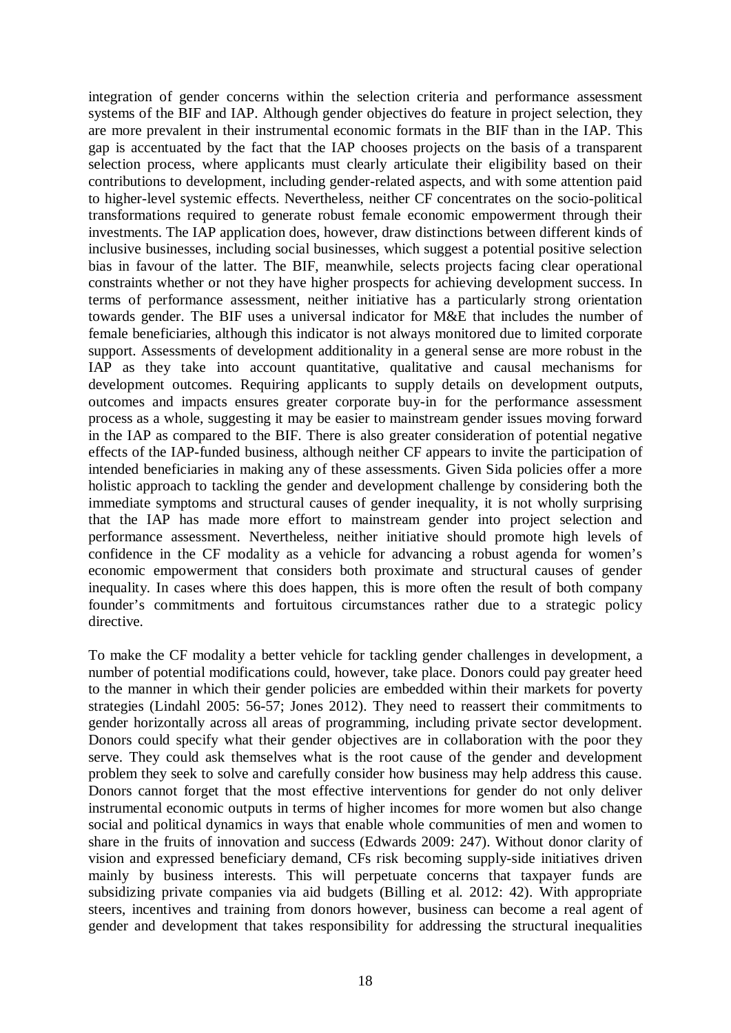integration of gender concerns within the selection criteria and performance assessment systems of the BIF and IAP. Although gender objectives do feature in project selection, they are more prevalent in their instrumental economic formats in the BIF than in the IAP. This gap is accentuated by the fact that the IAP chooses projects on the basis of a transparent selection process, where applicants must clearly articulate their eligibility based on their contributions to development, including gender-related aspects, and with some attention paid to higher-level systemic effects. Nevertheless, neither CF concentrates on the socio-political transformations required to generate robust female economic empowerment through their investments. The IAP application does, however, draw distinctions between different kinds of inclusive businesses, including social businesses, which suggest a potential positive selection bias in favour of the latter. The BIF, meanwhile, selects projects facing clear operational constraints whether or not they have higher prospects for achieving development success. In terms of performance assessment, neither initiative has a particularly strong orientation towards gender. The BIF uses a universal indicator for M&E that includes the number of female beneficiaries, although this indicator is not always monitored due to limited corporate support. Assessments of development additionality in a general sense are more robust in the IAP as they take into account quantitative, qualitative and causal mechanisms for development outcomes. Requiring applicants to supply details on development outputs, outcomes and impacts ensures greater corporate buy-in for the performance assessment process as a whole, suggesting it may be easier to mainstream gender issues moving forward in the IAP as compared to the BIF. There is also greater consideration of potential negative effects of the IAP-funded business, although neither CF appears to invite the participation of intended beneficiaries in making any of these assessments. Given Sida policies offer a more holistic approach to tackling the gender and development challenge by considering both the immediate symptoms and structural causes of gender inequality, it is not wholly surprising that the IAP has made more effort to mainstream gender into project selection and performance assessment. Nevertheless, neither initiative should promote high levels of confidence in the CF modality as a vehicle for advancing a robust agenda for women's economic empowerment that considers both proximate and structural causes of gender inequality. In cases where this does happen, this is more often the result of both company founder's commitments and fortuitous circumstances rather due to a strategic policy directive.

To make the CF modality a better vehicle for tackling gender challenges in development, a number of potential modifications could, however, take place. Donors could pay greater heed to the manner in which their gender policies are embedded within their markets for poverty strategies (Lindahl 2005: 56-57; Jones 2012). They need to reassert their commitments to gender horizontally across all areas of programming, including private sector development. Donors could specify what their gender objectives are in collaboration with the poor they serve. They could ask themselves what is the root cause of the gender and development problem they seek to solve and carefully consider how business may help address this cause. Donors cannot forget that the most effective interventions for gender do not only deliver instrumental economic outputs in terms of higher incomes for more women but also change social and political dynamics in ways that enable whole communities of men and women to share in the fruits of innovation and success (Edwards 2009: 247). Without donor clarity of vision and expressed beneficiary demand, CFs risk becoming supply-side initiatives driven mainly by business interests. This will perpetuate concerns that taxpayer funds are subsidizing private companies via aid budgets (Billing et al. 2012: 42). With appropriate steers, incentives and training from donors however, business can become a real agent of gender and development that takes responsibility for addressing the structural inequalities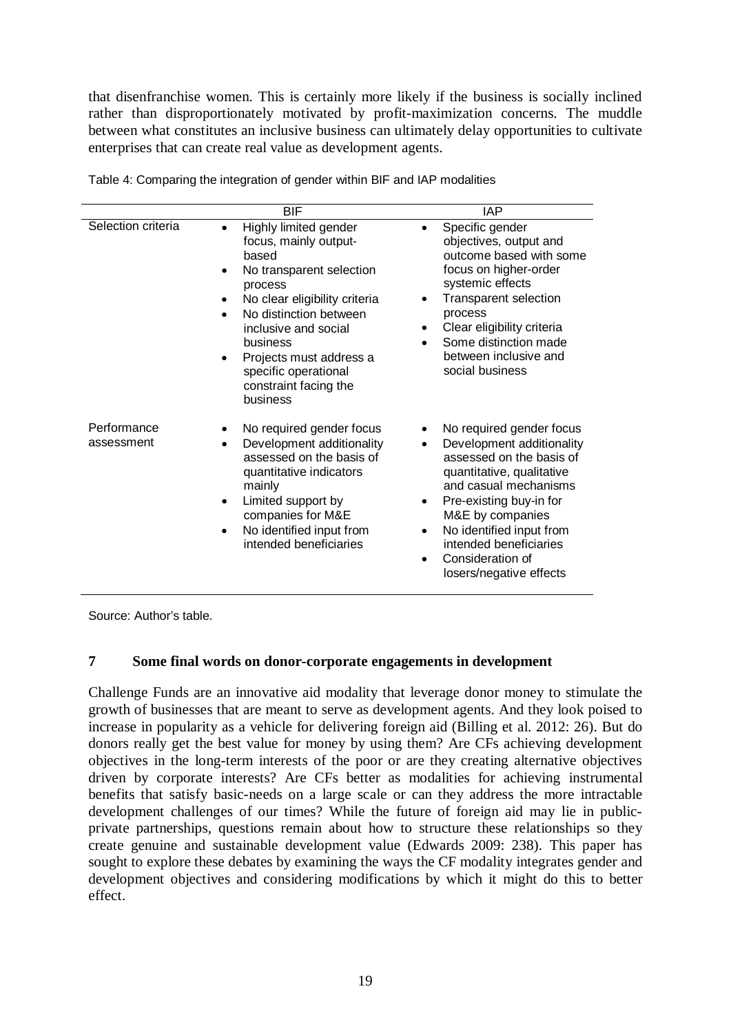that disenfranchise women. This is certainly more likely if the business is socially inclined rather than disproportionately motivated by profit-maximization concerns. The muddle between what constitutes an inclusive business can ultimately delay opportunities to cultivate enterprises that can create real value as development agents.

|                           | <b>BIF</b>                                                                                                                                                                                                                                                                                                                   | <b>IAP</b>                                                                                                                                                                                                                                                                                                                           |
|---------------------------|------------------------------------------------------------------------------------------------------------------------------------------------------------------------------------------------------------------------------------------------------------------------------------------------------------------------------|--------------------------------------------------------------------------------------------------------------------------------------------------------------------------------------------------------------------------------------------------------------------------------------------------------------------------------------|
| Selection criteria        | Highly limited gender<br>$\bullet$<br>focus, mainly output-<br>based<br>No transparent selection<br>process<br>No clear eligibility criteria<br>No distinction between<br>$\bullet$<br>inclusive and social<br>business<br>Projects must address a<br>$\bullet$<br>specific operational<br>constraint facing the<br>business | Specific gender<br>$\bullet$<br>objectives, output and<br>outcome based with some<br>focus on higher-order<br>systemic effects<br><b>Transparent selection</b><br>process<br>Clear eligibility criteria<br>٠<br>Some distinction made<br>$\bullet$<br>between inclusive and<br>social business                                       |
| Performance<br>assessment | No required gender focus<br>Development additionality<br>$\bullet$<br>assessed on the basis of<br>quantitative indicators<br>mainly<br>Limited support by<br>$\bullet$<br>companies for M&E<br>No identified input from<br>٠<br>intended beneficiaries                                                                       | No required gender focus<br>٠<br>Development additionality<br>٠<br>assessed on the basis of<br>quantitative, qualitative<br>and casual mechanisms<br>Pre-existing buy-in for<br>$\bullet$<br>M&E by companies<br>No identified input from<br>٠<br>intended beneficiaries<br>Consideration of<br>$\bullet$<br>losers/negative effects |

Table 4: Comparing the integration of gender within BIF and IAP modalities

Source: Author's table.

#### **7 Some final words on donor-corporate engagements in development**

Challenge Funds are an innovative aid modality that leverage donor money to stimulate the growth of businesses that are meant to serve as development agents. And they look poised to increase in popularity as a vehicle for delivering foreign aid (Billing et al. 2012: 26). But do donors really get the best value for money by using them? Are CFs achieving development objectives in the long-term interests of the poor or are they creating alternative objectives driven by corporate interests? Are CFs better as modalities for achieving instrumental benefits that satisfy basic-needs on a large scale or can they address the more intractable development challenges of our times? While the future of foreign aid may lie in publicprivate partnerships, questions remain about how to structure these relationships so they create genuine and sustainable development value (Edwards 2009: 238). This paper has sought to explore these debates by examining the ways the CF modality integrates gender and development objectives and considering modifications by which it might do this to better effect.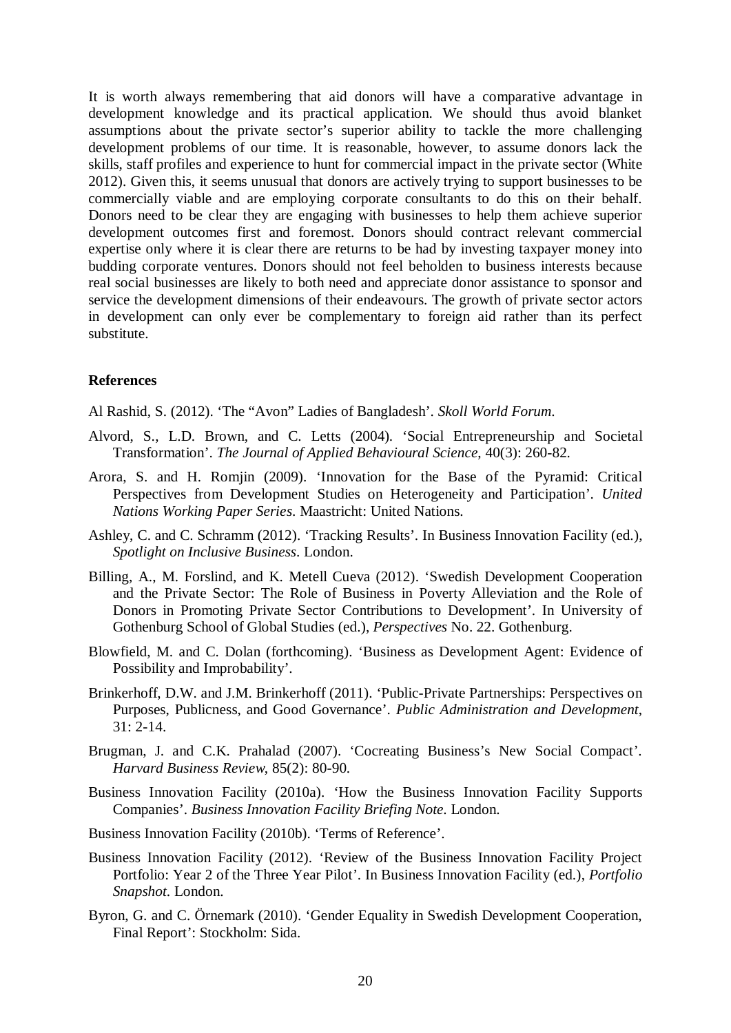It is worth always remembering that aid donors will have a comparative advantage in development knowledge and its practical application. We should thus avoid blanket assumptions about the private sector's superior ability to tackle the more challenging development problems of our time. It is reasonable, however, to assume donors lack the skills, staff profiles and experience to hunt for commercial impact in the private sector (White 2012). Given this, it seems unusual that donors are actively trying to support businesses to be commercially viable and are employing corporate consultants to do this on their behalf. Donors need to be clear they are engaging with businesses to help them achieve superior development outcomes first and foremost. Donors should contract relevant commercial expertise only where it is clear there are returns to be had by investing taxpayer money into budding corporate ventures. Donors should not feel beholden to business interests because real social businesses are likely to both need and appreciate donor assistance to sponsor and service the development dimensions of their endeavours. The growth of private sector actors in development can only ever be complementary to foreign aid rather than its perfect substitute.

#### **References**

Al Rashid, S. (2012). 'The "Avon" Ladies of Bangladesh'. *Skoll World Forum*.

- Alvord, S., L.D. Brown, and C. Letts (2004). 'Social Entrepreneurship and Societal Transformation'. *The Journal of Applied Behavioural Science*, 40(3): 260-82.
- Arora, S. and H. Romjin (2009). 'Innovation for the Base of the Pyramid: Critical Perspectives from Development Studies on Heterogeneity and Participation'. *United Nations Working Paper Series*. Maastricht: United Nations.
- Ashley, C. and C. Schramm (2012). 'Tracking Results'. In Business Innovation Facility (ed.), *Spotlight on Inclusive Business*. London.
- Billing, A., M. Forslind, and K. Metell Cueva (2012). 'Swedish Development Cooperation and the Private Sector: The Role of Business in Poverty Alleviation and the Role of Donors in Promoting Private Sector Contributions to Development'. In University of Gothenburg School of Global Studies (ed.), *Perspectives* No. 22. Gothenburg.
- Blowfield, M. and C. Dolan (forthcoming). 'Business as Development Agent: Evidence of Possibility and Improbability'.
- Brinkerhoff, D.W. and J.M. Brinkerhoff (2011). 'Public-Private Partnerships: Perspectives on Purposes, Publicness, and Good Governance'. *Public Administration and Development*, 31: 2-14.
- Brugman, J. and C.K. Prahalad (2007). 'Cocreating Business's New Social Compact'. *Harvard Business Review*, 85(2): 80-90.
- Business Innovation Facility (2010a). 'How the Business Innovation Facility Supports Companies'. *Business Innovation Facility Briefing Note*. London.
- Business Innovation Facility (2010b). 'Terms of Reference'.
- Business Innovation Facility (2012). 'Review of the Business Innovation Facility Project Portfolio: Year 2 of the Three Year Pilot'. In Business Innovation Facility (ed.), *Portfolio Snapshot*. London.
- Byron, G. and C. Örnemark (2010). 'Gender Equality in Swedish Development Cooperation, Final Report': Stockholm: Sida.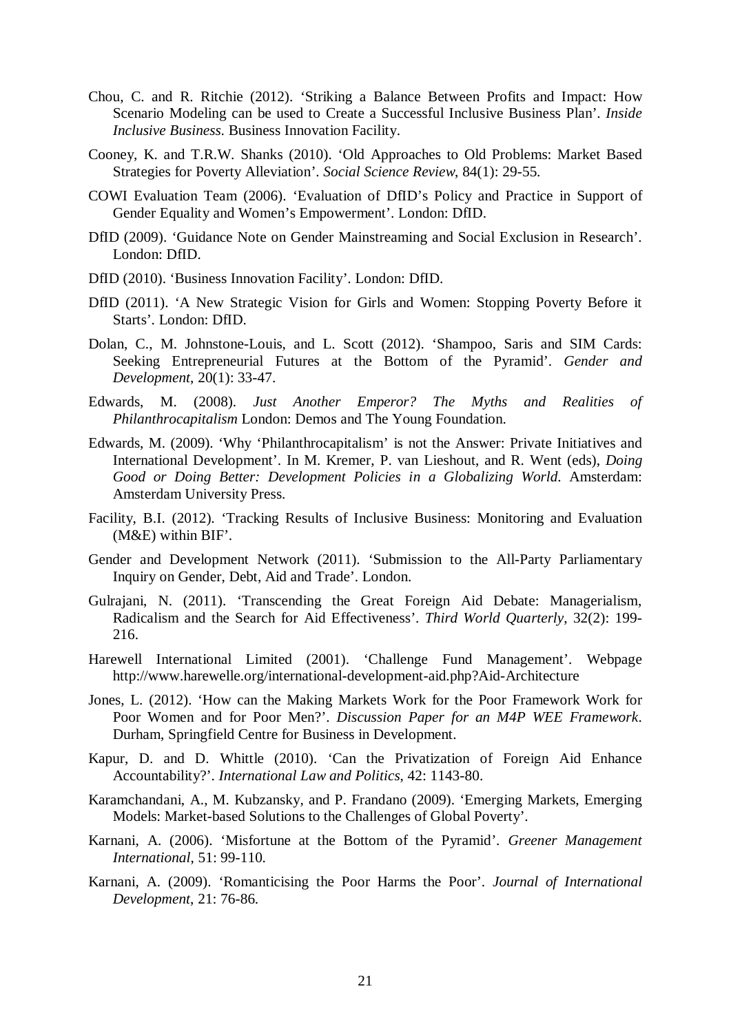- Chou, C. and R. Ritchie (2012). 'Striking a Balance Between Profits and Impact: How Scenario Modeling can be used to Create a Successful Inclusive Business Plan'. *Inside Inclusive Business*. Business Innovation Facility.
- Cooney, K. and T.R.W. Shanks (2010). 'Old Approaches to Old Problems: Market Based Strategies for Poverty Alleviation'. *Social Science Review*, 84(1): 29-55.
- COWI Evaluation Team (2006). 'Evaluation of DfID's Policy and Practice in Support of Gender Equality and Women's Empowerment'. London: DfID.
- DfID (2009). 'Guidance Note on Gender Mainstreaming and Social Exclusion in Research'. London: DfID.
- DfID (2010). 'Business Innovation Facility'. London: DfID.
- DfID (2011). 'A New Strategic Vision for Girls and Women: Stopping Poverty Before it Starts'. London: DfID.
- Dolan, C., M. Johnstone-Louis, and L. Scott (2012). 'Shampoo, Saris and SIM Cards: Seeking Entrepreneurial Futures at the Bottom of the Pyramid'. *Gender and Development*, 20(1): 33-47.
- Edwards, M. (2008). *Just Another Emperor? The Myths and Realities of Philanthrocapitalism* London: Demos and The Young Foundation.
- Edwards, M. (2009). 'Why 'Philanthrocapitalism' is not the Answer: Private Initiatives and International Development'. In M. Kremer, P. van Lieshout, and R. Went (eds), *Doing Good or Doing Better: Development Policies in a Globalizing World*. Amsterdam: Amsterdam University Press.
- Facility, B.I. (2012). 'Tracking Results of Inclusive Business: Monitoring and Evaluation (M&E) within BIF'.
- Gender and Development Network (2011). 'Submission to the All-Party Parliamentary Inquiry on Gender, Debt, Aid and Trade'. London.
- Gulrajani, N. (2011). 'Transcending the Great Foreign Aid Debate: Managerialism, Radicalism and the Search for Aid Effectiveness'. *Third World Quarterly*, 32(2): 199- 216.
- Harewell International Limited (2001). 'Challenge Fund Management'. Webpage http://www.harewelle.org/international-development-aid.php?Aid-Architecture
- Jones, L. (2012). 'How can the Making Markets Work for the Poor Framework Work for Poor Women and for Poor Men?'. *Discussion Paper for an M4P WEE Framework*. Durham, Springfield Centre for Business in Development.
- Kapur, D. and D. Whittle (2010). 'Can the Privatization of Foreign Aid Enhance Accountability?'. *International Law and Politics*, 42: 1143-80.
- Karamchandani, A., M. Kubzansky, and P. Frandano (2009). 'Emerging Markets, Emerging Models: Market-based Solutions to the Challenges of Global Poverty'.
- Karnani, A. (2006). 'Misfortune at the Bottom of the Pyramid'. *Greener Management International*, 51: 99-110.
- Karnani, A. (2009). 'Romanticising the Poor Harms the Poor'. *Journal of International Development*, 21: 76-86.